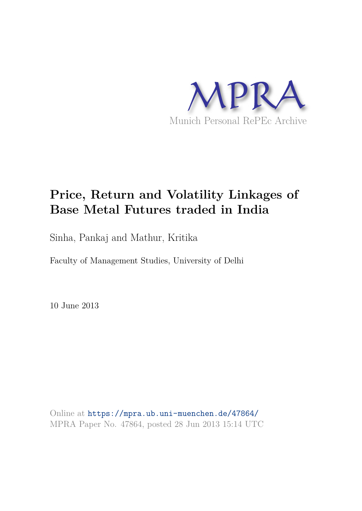

# **Price, Return and Volatility Linkages of Base Metal Futures traded in India**

Sinha, Pankaj and Mathur, Kritika

Faculty of Management Studies, University of Delhi

10 June 2013

Online at https://mpra.ub.uni-muenchen.de/47864/ MPRA Paper No. 47864, posted 28 Jun 2013 15:14 UTC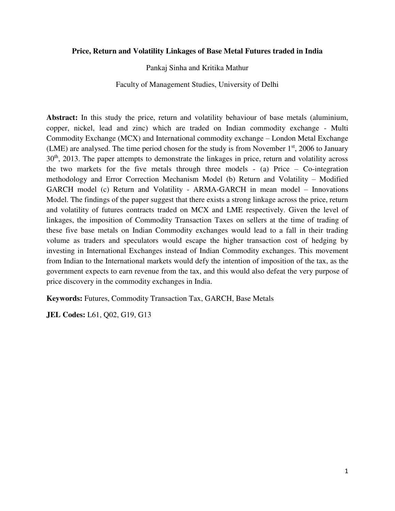#### **Price, Return and Volatility Linkages of Base Metal Futures traded in India**

Pankaj Sinha and Kritika Mathur

Faculty of Management Studies, University of Delhi

**Abstract:** In this study the price, return and volatility behaviour of base metals (aluminium, copper, nickel, lead and zinc) which are traded on Indian commodity exchange - Multi Commodity Exchange (MCX) and International commodity exchange – London Metal Exchange (LME) are analysed. The time period chosen for the study is from November  $1<sup>st</sup>$ , 2006 to January 30<sup>th</sup>, 2013. The paper attempts to demonstrate the linkages in price, return and volatility across the two markets for the five metals through three models - (a) Price – Co-integration methodology and Error Correction Mechanism Model (b) Return and Volatility – Modified GARCH model (c) Return and Volatility - ARMA-GARCH in mean model – Innovations Model. The findings of the paper suggest that there exists a strong linkage across the price, return and volatility of futures contracts traded on MCX and LME respectively. Given the level of linkages, the imposition of Commodity Transaction Taxes on sellers at the time of trading of these five base metals on Indian Commodity exchanges would lead to a fall in their trading volume as traders and speculators would escape the higher transaction cost of hedging by investing in International Exchanges instead of Indian Commodity exchanges. This movement from Indian to the International markets would defy the intention of imposition of the tax, as the government expects to earn revenue from the tax, and this would also defeat the very purpose of price discovery in the commodity exchanges in India.

**Keywords:** Futures, Commodity Transaction Tax, GARCH, Base Metals

**JEL Codes:** L61, Q02, G19, G13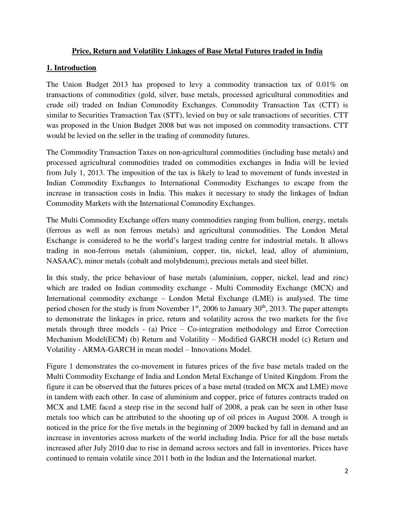#### **Price, Return and Volatility Linkages of Base Metal Futures traded in India**

## **1. Introduction**

The Union Budget 2013 has proposed to levy a commodity transaction tax of 0.01% on transactions of commodities (gold, silver, base metals, processed agricultural commodities and crude oil) traded on Indian Commodity Exchanges. Commodity Transaction Tax (CTT) is similar to Securities Transaction Tax (STT), levied on buy or sale transactions of securities. CTT was proposed in the Union Budget 2008 but was not imposed on commodity transactions. CTT would be levied on the seller in the trading of commodity futures.

The Commodity Transaction Taxes on non-agricultural commodities (including base metals) and processed agricultural commodities traded on commodities exchanges in India will be levied from July 1, 2013. The imposition of the tax is likely to lead to movement of funds invested in Indian Commodity Exchanges to International Commodity Exchanges to escape from the increase in transaction costs in India. This makes it necessary to study the linkages of Indian Commodity Markets with the International Commodity Exchanges.

The Multi Commodity Exchange offers many commodities ranging from bullion, energy, metals (ferrous as well as non ferrous metals) and agricultural commodities. The London Metal Exchange is considered to be the world's largest trading centre for industrial metals. It allows trading in non-ferrous metals (aluminium, copper, tin, nickel, lead, alloy of aluminium, NASAAC), minor metals (cobalt and molybdenum), precious metals and steel billet.

In this study, the price behaviour of base metals (aluminium, copper, nickel, lead and zinc) which are traded on Indian commodity exchange - Multi Commodity Exchange (MCX) and International commodity exchange – London Metal Exchange (LME) is analysed. The time period chosen for the study is from November  $1<sup>st</sup>$ , 2006 to January 30<sup>th</sup>, 2013. The paper attempts to demonstrate the linkages in price, return and volatility across the two markets for the five metals through three models - (a) Price – Co-integration methodology and Error Correction Mechanism Model(ECM) (b) Return and Volatility – Modified GARCH model (c) Return and Volatility - ARMA-GARCH in mean model – Innovations Model.

Figure 1 demonstrates the co-movement in futures prices of the five base metals traded on the Multi Commodity Exchange of India and London Metal Exchange of United Kingdom. From the figure it can be observed that the futures prices of a base metal (traded on MCX and LME) move in tandem with each other. In case of aluminium and copper, price of futures contracts traded on MCX and LME faced a steep rise in the second half of 2008, a peak can be seen in other base metals too which can be attributed to the shooting up of oil prices in August 2008. A trough is noticed in the price for the five metals in the beginning of 2009 backed by fall in demand and an increase in inventories across markets of the world including India. Price for all the base metals increased after July 2010 due to rise in demand across sectors and fall in inventories. Prices have continued to remain volatile since 2011 both in the Indian and the International market.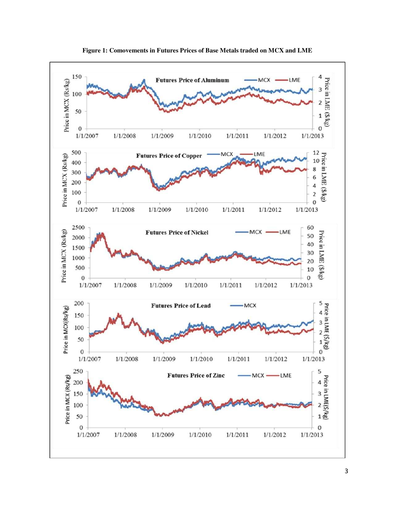

**Figure 1: Comovements in Futures Prices of Base Metals traded on MCX and LME**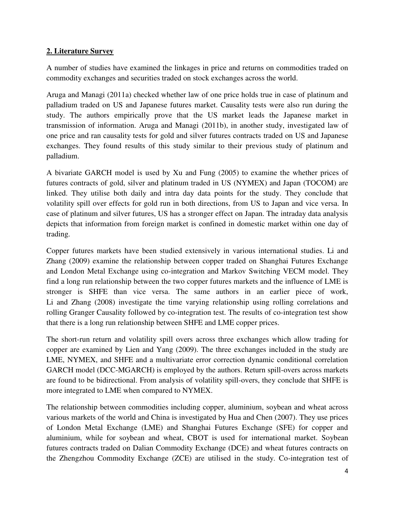## **2. Literature Survey**

A number of studies have examined the linkages in price and returns on commodities traded on commodity exchanges and securities traded on stock exchanges across the world.

Aruga and Managi (2011a) checked whether law of one price holds true in case of platinum and palladium traded on US and Japanese futures market. Causality tests were also run during the study. The authors empirically prove that the US market leads the Japanese market in transmission of information. Aruga and Managi (2011b), in another study, investigated law of one price and ran causality tests for gold and silver futures contracts traded on US and Japanese exchanges. They found results of this study similar to their previous study of platinum and palladium.

A bivariate GARCH model is used by Xu and Fung (2005) to examine the whether prices of futures contracts of gold, silver and platinum traded in US (NYMEX) and Japan (TOCOM) are linked. They utilise both daily and intra day data points for the study. They conclude that volatility spill over effects for gold run in both directions, from US to Japan and vice versa. In case of platinum and silver futures, US has a stronger effect on Japan. The intraday data analysis depicts that information from foreign market is confined in domestic market within one day of trading.

Copper futures markets have been studied extensively in various international studies. Li and Zhang (2009) examine the relationship between copper traded on Shanghai Futures Exchange and London Metal Exchange using co-integration and Markov Switching VECM model. They find a long run relationship between the two copper futures markets and the influence of LME is stronger is SHFE than vice versa. The same authors in an earlier piece of work, Li and Zhang (2008) investigate the time varying relationship using rolling correlations and rolling Granger Causality followed by co-integration test. The results of co-integration test show that there is a long run relationship between SHFE and LME copper prices.

The short-run return and volatility spill overs across three exchanges which allow trading for copper are examined by Lien and Yang (2009). The three exchanges included in the study are LME, NYMEX, and SHFE and a multivariate error correction dynamic conditional correlation GARCH model (DCC-MGARCH) is employed by the authors. Return spill-overs across markets are found to be bidirectional. From analysis of volatility spill-overs, they conclude that SHFE is more integrated to LME when compared to NYMEX.

The relationship between commodities including copper, aluminium, soybean and wheat across various markets of the world and China is investigated by Hua and Chen (2007). They use prices of London Metal Exchange (LME) and Shanghai Futures Exchange (SFE) for copper and aluminium, while for soybean and wheat, CBOT is used for international market. Soybean futures contracts traded on Dalian Commodity Exchange (DCE) and wheat futures contracts on the Zhengzhou Commodity Exchange (ZCE) are utilised in the study. Co-integration test of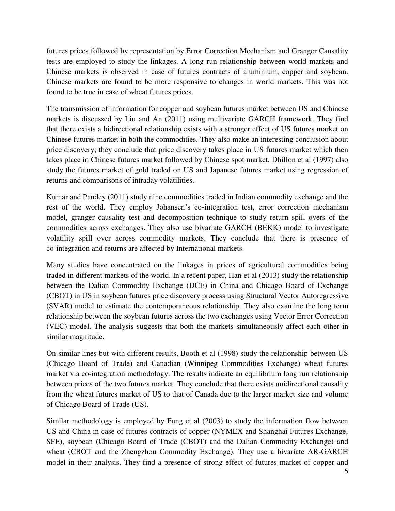futures prices followed by representation by Error Correction Mechanism and Granger Causality tests are employed to study the linkages. A long run relationship between world markets and Chinese markets is observed in case of futures contracts of aluminium, copper and soybean. Chinese markets are found to be more responsive to changes in world markets. This was not found to be true in case of wheat futures prices.

The transmission of information for copper and soybean futures market between US and Chinese markets is discussed by Liu and An (2011) using multivariate GARCH framework. They find that there exists a bidirectional relationship exists with a stronger effect of US futures market on Chinese futures market in both the commodities. They also make an interesting conclusion about price discovery; they conclude that price discovery takes place in US futures market which then takes place in Chinese futures market followed by Chinese spot market. Dhillon et al (1997) also study the futures market of gold traded on US and Japanese futures market using regression of returns and comparisons of intraday volatilities.

Kumar and Pandey (2011) study nine commodities traded in Indian commodity exchange and the rest of the world. They employ Johansen's co-integration test, error correction mechanism model, granger causality test and decomposition technique to study return spill overs of the commodities across exchanges. They also use bivariate GARCH (BEKK) model to investigate volatility spill over across commodity markets. They conclude that there is presence of co-integration and returns are affected by International markets.

Many studies have concentrated on the linkages in prices of agricultural commodities being traded in different markets of the world. In a recent paper, Han et al (2013) study the relationship between the Dalian Commodity Exchange (DCE) in China and Chicago Board of Exchange (CBOT) in US in soybean futures price discovery process using Structural Vector Autoregressive (SVAR) model to estimate the contemporaneous relationship. They also examine the long term relationship between the soybean futures across the two exchanges using Vector Error Correction (VEC) model. The analysis suggests that both the markets simultaneously affect each other in similar magnitude.

On similar lines but with different results, Booth et al (1998) study the relationship between US (Chicago Board of Trade) and Canadian (Winnipeg Commodities Exchange) wheat futures market via co-integration methodology. The results indicate an equilibrium long run relationship between prices of the two futures market. They conclude that there exists unidirectional causality from the wheat futures market of US to that of Canada due to the larger market size and volume of Chicago Board of Trade (US).

Similar methodology is employed by Fung et al (2003) to study the information flow between US and China in case of futures contracts of copper (NYMEX and Shanghai Futures Exchange, SFE), soybean (Chicago Board of Trade (CBOT) and the Dalian Commodity Exchange) and wheat (CBOT and the Zhengzhou Commodity Exchange). They use a bivariate AR-GARCH model in their analysis. They find a presence of strong effect of futures market of copper and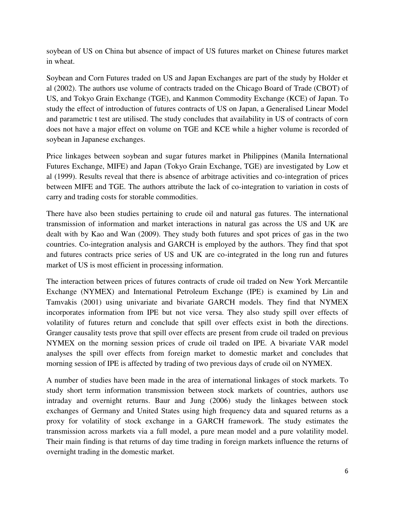soybean of US on China but absence of impact of US futures market on Chinese futures market in wheat.

Soybean and Corn Futures traded on US and Japan Exchanges are part of the study by Holder et al (2002). The authors use volume of contracts traded on the Chicago Board of Trade (CBOT) of US, and Tokyo Grain Exchange (TGE), and Kanmon Commodity Exchange (KCE) of Japan. To study the effect of introduction of futures contracts of US on Japan, a Generalised Linear Model and parametric t test are utilised. The study concludes that availability in US of contracts of corn does not have a major effect on volume on TGE and KCE while a higher volume is recorded of soybean in Japanese exchanges.

Price linkages between soybean and sugar futures market in Philippines (Manila International Futures Exchange, MIFE) and Japan (Tokyo Grain Exchange, TGE) are investigated by Low et al (1999). Results reveal that there is absence of arbitrage activities and co-integration of prices between MIFE and TGE. The authors attribute the lack of co-integration to variation in costs of carry and trading costs for storable commodities.

There have also been studies pertaining to crude oil and natural gas futures. The international transmission of information and market interactions in natural gas across the US and UK are dealt with by Kao and Wan (2009). They study both futures and spot prices of gas in the two countries. Co-integration analysis and GARCH is employed by the authors. They find that spot and futures contracts price series of US and UK are co-integrated in the long run and futures market of US is most efficient in processing information.

The interaction between prices of futures contracts of crude oil traded on New York Mercantile Exchange (NYMEX) and International Petroleum Exchange (IPE) is examined by Lin and Tamvakis (2001) using univariate and bivariate GARCH models. They find that NYMEX incorporates information from IPE but not vice versa. They also study spill over effects of volatility of futures return and conclude that spill over effects exist in both the directions. Granger causality tests prove that spill over effects are present from crude oil traded on previous NYMEX on the morning session prices of crude oil traded on IPE. A bivariate VAR model analyses the spill over effects from foreign market to domestic market and concludes that morning session of IPE is affected by trading of two previous days of crude oil on NYMEX.

A number of studies have been made in the area of international linkages of stock markets. To study short term information transmission between stock markets of countries, authors use intraday and overnight returns. Baur and Jung (2006) study the linkages between stock exchanges of Germany and United States using high frequency data and squared returns as a proxy for volatility of stock exchange in a GARCH framework. The study estimates the transmission across markets via a full model, a pure mean model and a pure volatility model. Their main finding is that returns of day time trading in foreign markets influence the returns of overnight trading in the domestic market.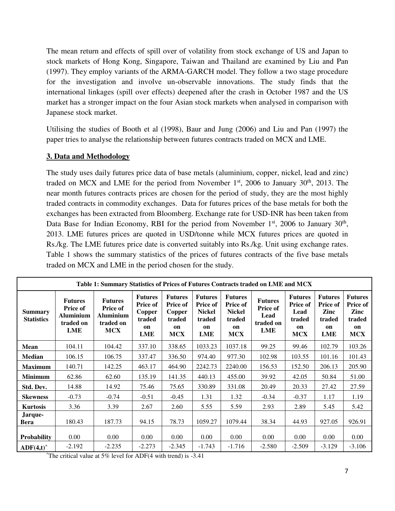The mean return and effects of spill over of volatility from stock exchange of US and Japan to stock markets of Hong Kong, Singapore, Taiwan and Thailand are examined by Liu and Pan (1997). They employ variants of the ARMA-GARCH model. They follow a two stage procedure for the investigation and involve un-observable innovations. The study finds that the international linkages (spill over effects) deepened after the crash in October 1987 and the US market has a stronger impact on the four Asian stock markets when analysed in comparison with Japanese stock market.

Utilising the studies of Booth et al (1998), Baur and Jung (2006) and Liu and Pan (1997) the paper tries to analyse the relationship between futures contracts traded on MCX and LME.

## **3. Data and Methodology**

The study uses daily futures price data of base metals (aluminium, copper, nickel, lead and zinc) traded on MCX and LME for the period from November  $1<sup>st</sup>$ , 2006 to January 30<sup>th</sup>, 2013. The near month futures contracts prices are chosen for the period of study, they are the most highly traded contracts in commodity exchanges. Data for futures prices of the base metals for both the exchanges has been extracted from Bloomberg. Exchange rate for USD-INR has been taken from Data Base for Indian Economy, RBI for the period from November  $1<sup>st</sup>$ , 2006 to January  $30<sup>th</sup>$ , 2013. LME futures prices are quoted in USD/tonne while MCX futures prices are quoted in Rs./kg. The LME futures price date is converted suitably into Rs./kg. Unit using exchange rates. Table 1 shows the summary statistics of the prices of futures contracts of the five base metals traded on MCX and LME in the period chosen for the study.

| Table 1: Summary Statistics of Prices of Futures Contracts traded on LME and MCX |                                                                           |                                                                                  |                                                                           |                                                                           |                                                                                  |                                                                                  |                                                               |                                                                         |                                                                         |                                                                         |
|----------------------------------------------------------------------------------|---------------------------------------------------------------------------|----------------------------------------------------------------------------------|---------------------------------------------------------------------------|---------------------------------------------------------------------------|----------------------------------------------------------------------------------|----------------------------------------------------------------------------------|---------------------------------------------------------------|-------------------------------------------------------------------------|-------------------------------------------------------------------------|-------------------------------------------------------------------------|
| <b>Summary</b><br><b>Statistics</b>                                              | <b>Futures</b><br><b>Price of</b><br><b>Aluminium</b><br>traded on<br>LME | <b>Futures</b><br><b>Price of</b><br><b>Aluminium</b><br>traded on<br><b>MCX</b> | <b>Futures</b><br><b>Price of</b><br>Copper<br>traded<br>on<br><b>LME</b> | <b>Futures</b><br><b>Price of</b><br>Copper<br>traded<br>on<br><b>MCX</b> | <b>Futures</b><br><b>Price of</b><br><b>Nickel</b><br>traded<br>on<br><b>LME</b> | <b>Futures</b><br><b>Price of</b><br><b>Nickel</b><br>traded<br>on<br><b>MCX</b> | <b>Futures</b><br><b>Price of</b><br>Lead<br>traded on<br>LME | <b>Futures</b><br><b>Price of</b><br>Lead<br>traded<br>on<br><b>MCX</b> | <b>Futures</b><br><b>Price of</b><br>Zinc<br>traded<br>on<br><b>LME</b> | <b>Futures</b><br><b>Price of</b><br>Zinc<br>traded<br>on<br><b>MCX</b> |
| Mean                                                                             | 104.11                                                                    | 104.42                                                                           | 337.10                                                                    | 338.65                                                                    | 1033.23                                                                          | 1037.18                                                                          | 99.25                                                         | 99.46                                                                   | 102.79                                                                  | 103.26                                                                  |
| Median                                                                           | 106.15                                                                    | 106.75                                                                           | 337.47                                                                    | 336.50                                                                    | 974.40                                                                           | 977.30                                                                           | 102.98                                                        | 103.55                                                                  | 101.16                                                                  | 101.43                                                                  |
| <b>Maximum</b>                                                                   | 140.71                                                                    | 142.25                                                                           | 463.17                                                                    | 464.90                                                                    | 2242.73                                                                          | 2240.00                                                                          | 156.53                                                        | 152.50                                                                  | 206.13                                                                  | 205.90                                                                  |
| <b>Minimum</b>                                                                   | 62.86                                                                     | 62.60                                                                            | 135.19                                                                    | 141.35                                                                    | 440.13                                                                           | 455.00                                                                           | 39.92                                                         | 42.05                                                                   | 50.84                                                                   | 51.00                                                                   |
| Std. Dev.                                                                        | 14.88                                                                     | 14.92                                                                            | 75.46                                                                     | 75.65                                                                     | 330.89                                                                           | 331.08                                                                           | 20.49                                                         | 20.33                                                                   | 27.42                                                                   | 27.59                                                                   |
| <b>Skewness</b>                                                                  | $-0.73$                                                                   | $-0.74$                                                                          | $-0.51$                                                                   | $-0.45$                                                                   | 1.31                                                                             | 1.32                                                                             | $-0.34$                                                       | $-0.37$                                                                 | 1.17                                                                    | 1.19                                                                    |
| <b>Kurtosis</b>                                                                  | 3.36                                                                      | 3.39                                                                             | 2.67                                                                      | 2.60                                                                      | 5.55                                                                             | 5.59                                                                             | 2.93                                                          | 2.89                                                                    | 5.45                                                                    | 5.42                                                                    |
| Jarque-<br>Bera                                                                  | 180.43                                                                    | 187.73                                                                           | 94.15                                                                     | 78.73                                                                     | 1059.27                                                                          | 1079.44                                                                          | 38.34                                                         | 44.93                                                                   | 927.05                                                                  | 926.91                                                                  |
| <b>Probability</b>                                                               | 0.00                                                                      | 0.00                                                                             | 0.00                                                                      | 0.00                                                                      | 0.00                                                                             | 0.00                                                                             | 0.00                                                          | 0.00                                                                    | 0.00                                                                    | 0.00                                                                    |
| ADF(4,t)                                                                         | $-2.192$                                                                  | $-2.235$                                                                         | $-2.273$                                                                  | $-2.345$                                                                  | $-1.743$                                                                         | $-1.716$                                                                         | $-2.580$                                                      | $-2.509$                                                                | $-3.129$                                                                | $-3.106$                                                                |

 $^{\circ}$ The critical value at 5% level for ADF(4 with trend) is -3.41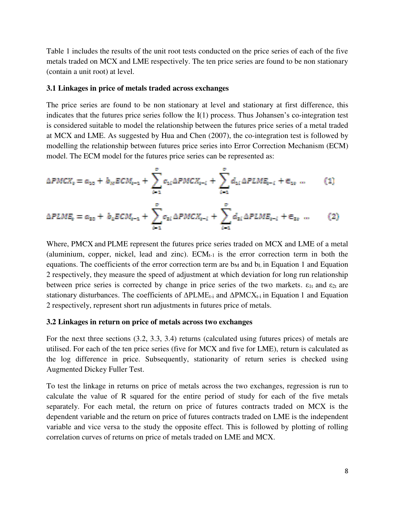Table 1 includes the results of the unit root tests conducted on the price series of each of the five metals traded on MCX and LME respectively. The ten price series are found to be non stationary (contain a unit root) at level.

#### **3.1 Linkages in price of metals traded across exchanges**

The price series are found to be non stationary at level and stationary at first difference, this indicates that the futures price series follow the I(1) process. Thus Johansen's co-integration test is considered suitable to model the relationship between the futures price series of a metal traded at MCX and LME. As suggested by Hua and Chen (2007), the co-integration test is followed by modelling the relationship between futures price series into Error Correction Mechanism (ECM) model. The ECM model for the futures price series can be represented as:

$$
\Delta PMCX_{t} = a_{10} + b_{M}ECM_{t-1} + \sum_{i=1}^{p} c_{1i} \Delta PMCX_{t-i} + \sum_{i=1}^{p} d_{1i} \Delta PLME_{t-i} + \epsilon_{1t} \quad ... \tag{1}
$$

$$
\Delta PLME_{\epsilon} = a_{z0} + b_{\epsilon} ECM_{\epsilon-1} + \sum_{i=1}^{p} c_{zi} \Delta PMCK_{\epsilon-i} + \sum_{i=1}^{p} d_{zi} \Delta PLME_{\epsilon-i} + \epsilon_{z\epsilon} \quad ... \tag{2}
$$

Where, PMCX and PLME represent the futures price series traded on MCX and LME of a metal (aluminium, copper, nickel, lead and zinc).  $ECM<sub>t-1</sub>$  is the error correction term in both the equations. The coefficients of the error correction term are  $b_M$  and  $b_L$  in Equation 1 and Equation 2 respectively, they measure the speed of adjustment at which deviation for long run relationship between price series is corrected by change in price series of the two markets.  $\varepsilon_{1t}$  and  $\varepsilon_{2t}$  are stationary disturbances. The coefficients of  $\Delta$ PLME<sub>t-i</sub> and  $\Delta$ PMCX<sub>t-i</sub> in Equation 1 and Equation 2 respectively, represent short run adjustments in futures price of metals.

#### **3.2 Linkages in return on price of metals across two exchanges**

For the next three sections (3.2, 3.3, 3.4) returns (calculated using futures prices) of metals are utilised. For each of the ten price series (five for MCX and five for LME), return is calculated as the log difference in price. Subsequently, stationarity of return series is checked using Augmented Dickey Fuller Test.

To test the linkage in returns on price of metals across the two exchanges, regression is run to calculate the value of R squared for the entire period of study for each of the five metals separately. For each metal, the return on price of futures contracts traded on MCX is the dependent variable and the return on price of futures contracts traded on LME is the independent variable and vice versa to the study the opposite effect. This is followed by plotting of rolling correlation curves of returns on price of metals traded on LME and MCX.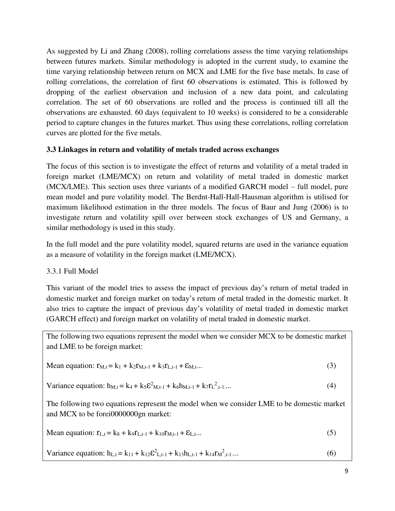As suggested by Li and Zhang (2008), rolling correlations assess the time varying relationships between futures markets. Similar methodology is adopted in the current study, to examine the time varying relationship between return on MCX and LME for the five base metals. In case of rolling correlations, the correlation of first 60 observations is estimated. This is followed by dropping of the earliest observation and inclusion of a new data point, and calculating correlation. The set of 60 observations are rolled and the process is continued till all the observations are exhausted. 60 days (equivalent to 10 weeks) is considered to be a considerable period to capture changes in the futures market. Thus using these correlations, rolling correlation curves are plotted for the five metals.

## **3.3 Linkages in return and volatility of metals traded across exchanges**

The focus of this section is to investigate the effect of returns and volatility of a metal traded in foreign market (LME/MCX) on return and volatility of metal traded in domestic market (MCX/LME). This section uses three variants of a modified GARCH model – full model, pure mean model and pure volatility model. The Berdnt-Hall-Hall-Hausman algorithm is utilised for maximum likelihood estimation in the three models. The focus of Baur and Jung (2006) is to investigate return and volatility spill over between stock exchanges of US and Germany, a similar methodology is used in this study.

In the full model and the pure volatility model, squared returns are used in the variance equation as a measure of volatility in the foreign market (LME/MCX).

## 3.3.1 Full Model

This variant of the model tries to assess the impact of previous day's return of metal traded in domestic market and foreign market on today's return of metal traded in the domestic market. It also tries to capture the impact of previous day's volatility of metal traded in domestic market (GARCH effect) and foreign market on volatility of metal traded in domestic market.

The following two equations represent the model when we consider MCX to be domestic market and LME to be foreign market:

Mean equation: 
$$
r_{M,t} = k_1 + k_2 r_{M,t-1} + k_3 r_{L,t-1} + \varepsilon_{M,t} \tag{3}
$$

Variance equation: 
$$
h_{M,t} = k_4 + k_5 \mathcal{E}^2_{M,t-1} + k_6 h_{M,t-1} + k_7 r_L^2_{t-1} \dots
$$
 (4)

The following two equations represent the model when we consider LME to be domestic market and MCX to be forei0000000gn market:

Mean equation: 
$$
r_{L,t} = k_8 + k_9 r_{L,t-1} + k_{10} r_{M,t-1} + \varepsilon_{L,t} \tag{5}
$$

Variance equation: 
$$
h_{L,t} = k_{11} + k_{12} \mathcal{E}_{L,t-1}^2 + k_{13} h_{L,t-1} + k_{14} r_{M,t-1}^2 \dots
$$
 (6)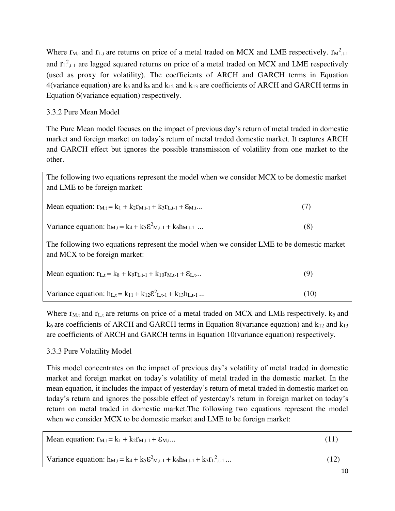Where  $r_{M,t}$  and  $r_{L,t}$  are returns on price of a metal traded on MCX and LME respectively.  $r_{M,t-1}^2$ and  $r_L^2$ <sub>,t-1</sub> are lagged squared returns on price of a metal traded on MCX and LME respectively (used as proxy for volatility). The coefficients of ARCH and GARCH terms in Equation 4(variance equation) are  $k_5$  and  $k_6$  and  $k_{12}$  and  $k_{13}$  are coefficients of ARCH and GARCH terms in Equation 6(variance equation) respectively.

#### 3.3.2 Pure Mean Model

The Pure Mean model focuses on the impact of previous day's return of metal traded in domestic market and foreign market on today's return of metal traded domestic market. It captures ARCH and GARCH effect but ignores the possible transmission of volatility from one market to the other.

The following two equations represent the model when we consider MCX to be domestic market and LME to be foreign market:

| Mean equation: $r_{M,t} = k_1 + k_2 r_{M,t-1} + k_3 r_{L,t-1} + \mathcal{E}_{M,t}$ |  |
|------------------------------------------------------------------------------------|--|
|------------------------------------------------------------------------------------|--|

| Variance equation: $h_{M,t} = k_4 + k_5 \mathcal{E}^2_{M,t-1} + k_6 h_{M,t-1}$ |  |
|--------------------------------------------------------------------------------|--|
|--------------------------------------------------------------------------------|--|

The following two equations represent the model when we consider LME to be domestic market and MCX to be foreign market:

| Mean equation: $r_{L,t} = k_8 + k_9 r_{L,t-1} + k_{10} r_{M,t-1} + \varepsilon_{L,t}$ |  |
|---------------------------------------------------------------------------------------|--|
|---------------------------------------------------------------------------------------|--|

Variance equation:  $h_{L,t} = k_{11} + k_{12} \varepsilon_{L,t-1}^2 + k_{13} h_{L,t-1}$  ... (10)

Where  $r_{M,t}$  and  $r_{L,t}$  are returns on price of a metal traded on MCX and LME respectively.  $k_5$  and  $k<sub>6</sub>$  are coefficients of ARCH and GARCH terms in Equation 8(variance equation) and  $k<sub>12</sub>$  and  $k<sub>13</sub>$ are coefficients of ARCH and GARCH terms in Equation 10(variance equation) respectively.

## 3.3.3 Pure Volatility Model

This model concentrates on the impact of previous day's volatility of metal traded in domestic market and foreign market on today's volatility of metal traded in the domestic market. In the mean equation, it includes the impact of yesterday's return of metal traded in domestic market on today's return and ignores the possible effect of yesterday's return in foreign market on today's return on metal traded in domestic market.The following two equations represent the model when we consider MCX to be domestic market and LME to be foreign market:

| Mean equation: $r_{M,t} = k_1 + k_2 r_{M,t-1} + \mathcal{E}_{M,t}$                               | (11) |
|--------------------------------------------------------------------------------------------------|------|
| Variance equation: $h_{M,t} = k_4 + k_5 \mathcal{E}^2_{M,t-1} + k_6 h_{M,t-1} + k_7 r_L^2_{t-1}$ | (12) |
|                                                                                                  |      |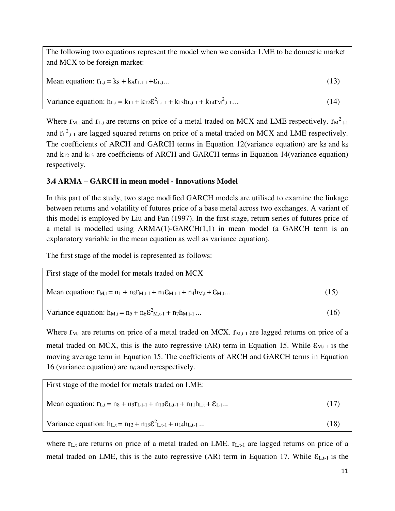The following two equations represent the model when we consider LME to be domestic market and MCX to be foreign market:

Mean equation:  $r_{L,t} = k_8 + k_9 r_{L,t-1} + \varepsilon_{L,t}$ ... (13)

Variance equation:  $h_{L,t} = k_{11} + k_{12} \varepsilon^2_{L,t-1} + k_{13} h_{L,t-1} + k_{14} r_{M,t-1}^2$ .... (14)

Where  $r_{M,t}$  and  $r_{L,t}$  are returns on price of a metal traded on MCX and LME respectively.  $r_{M,t-1}^2$ and  $r_{L}^{2}$ , are lagged squared returns on price of a metal traded on MCX and LME respectively. The coefficients of ARCH and GARCH terms in Equation 12(variance equation) are  $k_5$  and  $k_6$ and  $k_{12}$  and  $k_{13}$  are coefficients of ARCH and GARCH terms in Equation 14(variance equation) respectively.

## **3.4 ARMA – GARCH in mean model - Innovations Model**

In this part of the study, two stage modified GARCH models are utilised to examine the linkage between returns and volatility of futures price of a base metal across two exchanges. A variant of this model is employed by Liu and Pan (1997). In the first stage, return series of futures price of a metal is modelled using ARMA(1)-GARCH(1,1) in mean model (a GARCH term is an explanatory variable in the mean equation as well as variance equation).

The first stage of the model is represented as follows:

| First stage of the model for metals traded on MCX                                                    |      |
|------------------------------------------------------------------------------------------------------|------|
| Mean equation: $r_{M,t} = n_1 + n_2 r_{M,t-1} + n_3 \epsilon_{M,t-1} + n_4 h_{M,t} + \epsilon_{M,t}$ | (15) |
| Variance equation: $h_{M,t} = n_5 + n_6 \mathcal{E}^2_{M,t-1} + n_7 h_{M,t-1} $                      | (16) |

Where  $r_{M,t}$  are returns on price of a metal traded on MCX.  $r_{M,t-1}$  are lagged returns on price of a metal traded on MCX, this is the auto regressive  $(AR)$  term in Equation 15. While  $\epsilon_{M,t-1}$  is the moving average term in Equation 15. The coefficients of ARCH and GARCH terms in Equation 16 (variance equation) are  $n_6$  and n<sub>7</sub> respectively.

| First stage of the model for metals traded on LME:                                                          |      |
|-------------------------------------------------------------------------------------------------------------|------|
| Mean equation: $r_{L,t} = n_8 + n_9 r_{L,t-1} + n_{10} \epsilon_{L,t-1} + n_{11} h_{L,t} + \epsilon_{L,t} $ | (17) |
| Variance equation: $h_{L,t} = n_{12} + n_{13} \varepsilon^2_{L,t-1} + n_{14} h_{L,t-1} $                    | (18) |

where  $r_{L,t}$  are returns on price of a metal traded on LME.  $r_{L,t-1}$  are lagged returns on price of a metal traded on LME, this is the auto regressive  $(AR)$  term in Equation 17. While  $\mathcal{E}_{L,t-1}$  is the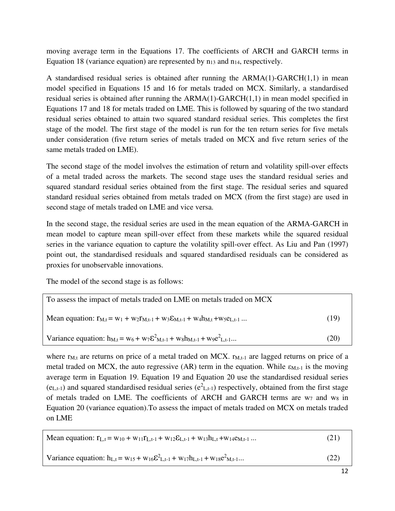moving average term in the Equations 17. The coefficients of ARCH and GARCH terms in Equation 18 (variance equation) are represented by  $n_{13}$  and  $n_{14}$ , respectively.

A standardised residual series is obtained after running the ARMA(1)-GARCH(1,1) in mean model specified in Equations 15 and 16 for metals traded on MCX. Similarly, a standardised residual series is obtained after running the ARMA(1)-GARCH(1,1) in mean model specified in Equations 17 and 18 for metals traded on LME. This is followed by squaring of the two standard residual series obtained to attain two squared standard residual series. This completes the first stage of the model. The first stage of the model is run for the ten return series for five metals under consideration (five return series of metals traded on MCX and five return series of the same metals traded on LME).

The second stage of the model involves the estimation of return and volatility spill-over effects of a metal traded across the markets. The second stage uses the standard residual series and squared standard residual series obtained from the first stage. The residual series and squared standard residual series obtained from metals traded on MCX (from the first stage) are used in second stage of metals traded on LME and vice versa.

In the second stage, the residual series are used in the mean equation of the ARMA-GARCH in mean model to capture mean spill-over effect from these markets while the squared residual series in the variance equation to capture the volatility spill-over effect. As Liu and Pan (1997) point out, the standardised residuals and squared standardised residuals can be considered as proxies for unobservable innovations.

The model of the second stage is as follows:

| To assess the impact of metals traded on LME on metals traded on MCX                                        |      |  |  |
|-------------------------------------------------------------------------------------------------------------|------|--|--|
| Mean equation: $r_{M,t} = w_1 + w_2 r_{M,t-1} + w_3 \epsilon_{M,t-1} + w_4 h_{M,t} + w_5 \epsilon_{L,t-1} $ | (19) |  |  |
| Variance equation: $h_{M,t} = w_6 + w_7 \mathcal{E}^2_{M,t-1} + w_8 h_{M,t-1} + w_9 e^2_{L,t-1}$            | (20) |  |  |

where  $r_{M,t}$  are returns on price of a metal traded on MCX.  $r_{M,t-1}$  are lagged returns on price of a metal traded on MCX, the auto regressive (AR) term in the equation. While  $\varepsilon_{M,t-1}$  is the moving average term in Equation 19. Equation 19 and Equation 20 use the standardised residual series  $(e_{L,t-1})$  and squared standardised residual series  $(e_{L,t-1})$  respectively, obtained from the first stage of metals traded on LME. The coefficients of ARCH and GARCH terms are  $w_7$  and  $w_8$  in Equation 20 (variance equation).To assess the impact of metals traded on MCX on metals traded on LME

| (21)<br>Mean equation: $r_{L,t} = w_{10} + w_{11}r_{L,t-1} + w_{12}\epsilon_{L,t-1} + w_{13}h_{L,t} + w_{14}e_{M,t-1}$ |
|------------------------------------------------------------------------------------------------------------------------|
| Variance equation: $h_{L,t} = w_{15} + w_{16} \varepsilon^2_{L,t-1} + w_{17} h_{L,t-1} + w_{18} e^2_{M,t-1}$<br>(22)   |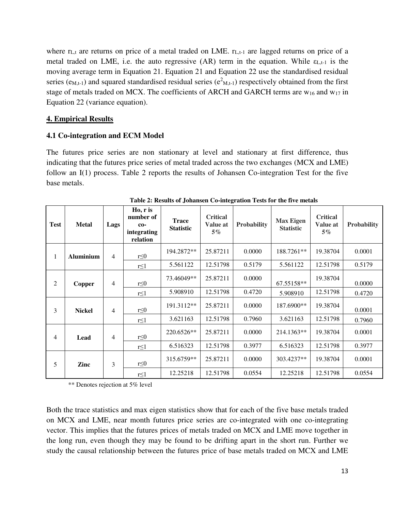where  $r_{L,t}$  are returns on price of a metal traded on LME.  $r_{L,t-1}$  are lagged returns on price of a metal traded on LME, i.e. the auto regressive (AR) term in the equation. While  $\varepsilon_{L,t-1}$  is the moving average term in Equation 21. Equation 21 and Equation 22 use the standardised residual series ( $e_{M,t-1}$ ) and squared standardised residual series ( $e_{M,t-1}$ ) respectively obtained from the first stage of metals traded on MCX. The coefficients of ARCH and GARCH terms are w<sub>16</sub> and w<sub>17</sub> in Equation 22 (variance equation).

## **4. Empirical Results**

## **4.1 Co-integration and ECM Model**

The futures price series are non stationary at level and stationary at first difference, thus indicating that the futures price series of metal traded across the two exchanges (MCX and LME) follow an I(1) process. Table 2 reports the results of Johansen Co-integration Test for the five base metals.

| <b>Test</b>    | <b>Metal</b>     | Lags           | Ho, r is<br>number of<br>$co-$<br>integrating<br>relation | <b>Trace</b><br><b>Statistic</b> | <b>Critical</b><br>Value at<br>$5\%$ | <b>Probability</b> | <b>Max Eigen</b><br><b>Statistic</b> | <b>Critical</b><br>Value at<br>$5\%$ | Probability |
|----------------|------------------|----------------|-----------------------------------------------------------|----------------------------------|--------------------------------------|--------------------|--------------------------------------|--------------------------------------|-------------|
| 1              | <b>Aluminium</b> | $\overline{4}$ | $r \leq 0$                                                | 194.2872**                       | 25.87211                             | 0.0000             | 188.7261**                           | 19.38704                             | 0.0001      |
|                |                  |                | $r \leq 1$                                                | 5.561122                         | 12.51798                             | 0.5179             | 5.561122                             | 12.51798                             | 0.5179      |
| $\overline{c}$ | Copper           | 4              | $r \leq 0$                                                | 73.46049**                       | 25.87211                             | 0.0000             | 67.55158**                           | 19.38704                             | 0.0000      |
|                |                  |                | $r \leq 1$                                                | 5.908910                         | 12.51798                             | 0.4720             | 5.908910                             | 12.51798                             | 0.4720      |
| 3              | <b>Nickel</b>    | $\overline{4}$ | $r \leq 0$                                                | 191.3112**                       | 25.87211                             | 0.0000             | 187.6900**                           | 19.38704                             | 0.0001      |
|                |                  |                | $r \leq 1$                                                | 3.621163                         | 12.51798                             | 0.7960             | 3.621163                             | 12.51798                             | 0.7960      |
| 4              | Lead             | $\overline{4}$ | $r \leq 0$                                                | 220.6526**                       | 25.87211                             | 0.0000             | 214.1363**                           | 19.38704                             | 0.0001      |
|                |                  |                | $r \leq 1$                                                | 6.516323                         | 12.51798                             | 0.3977             | 6.516323                             | 12.51798                             | 0.3977      |
| 5              | Zinc             | 3              | $r \leq 0$                                                | 315.6759**                       | 25.87211                             | 0.0000             | 303.4237**                           | 19.38704                             | 0.0001      |
|                |                  |                | $r \leq 1$                                                | 12.25218                         | 12.51798                             | 0.0554             | 12.25218                             | 12.51798                             | 0.0554      |

**Table 2: Results of Johansen Co-integration Tests for the five metals** 

\*\* Denotes rejection at 5% level

Both the trace statistics and max eigen statistics show that for each of the five base metals traded on MCX and LME, near month futures price series are co-integrated with one co-integrating vector. This implies that the futures prices of metals traded on MCX and LME move together in the long run, even though they may be found to be drifting apart in the short run. Further we study the causal relationship between the futures price of base metals traded on MCX and LME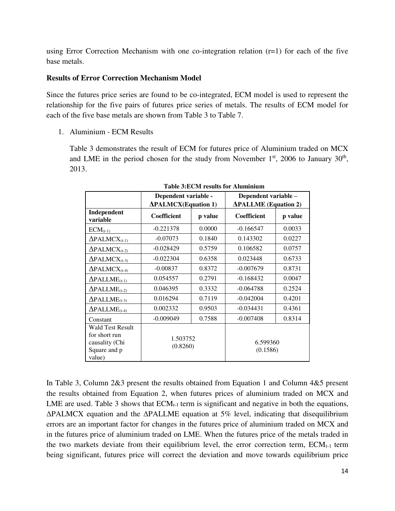using Error Correction Mechanism with one co-integration relation  $(r=1)$  for each of the five base metals.

#### **Results of Error Correction Mechanism Model**

Since the futures price series are found to be co-integrated, ECM model is used to represent the relationship for the five pairs of futures price series of metals. The results of ECM model for each of the five base metals are shown from Table 3 to Table 7.

1. Aluminium - ECM Results

Table 3 demonstrates the result of ECM for futures price of Aluminium traded on MCX and LME in the period chosen for the study from November  $1<sup>st</sup>$ , 2006 to January  $30<sup>th</sup>$ , 2013.

|                                                                                      | Dependent variable -                      |         | Dependent variable -         |         |  |
|--------------------------------------------------------------------------------------|-------------------------------------------|---------|------------------------------|---------|--|
|                                                                                      | <b><i><u>APALMCX</u></i></b> (Equation 1) |         | $\Delta$ PALLME (Equation 2) |         |  |
| Independent<br>variable                                                              | <b>Coefficient</b>                        | p value | <b>Coefficient</b>           | p value |  |
| $ECM_{(t-1)}$                                                                        | $-0.221378$                               | 0.0000  | $-0.166547$                  | 0.0033  |  |
| $\Delta$ PALMCX <sub>(t-1)</sub>                                                     | $-0.07073$                                | 0.1840  | 0.143302                     | 0.0227  |  |
| $\Delta$ PALMCX <sub>(t-2)</sub>                                                     | $-0.028429$                               | 0.5759  | 0.106582                     | 0.0757  |  |
| $\Delta$ PALMCX <sub>(t-3)</sub>                                                     | $-0.022304$                               | 0.6358  | 0.023448                     | 0.6733  |  |
| $\Delta$ PALMCX <sub>(t-4)</sub>                                                     | $-0.00837$                                | 0.8372  | $-0.007679$                  | 0.8731  |  |
| $\Delta \text{PALLME}_{(t-1)}$                                                       | 0.054557                                  | 0.2791  | $-0.168432$                  | 0.0047  |  |
| $\Delta \text{PALLME}_{(t-2)}$                                                       | 0.046395                                  | 0.3332  | $-0.064788$                  | 0.2524  |  |
| $\Delta \text{PALLME}_{(t-3)}$                                                       | 0.016294                                  | 0.7119  | $-0.042004$                  | 0.4201  |  |
| $\Delta \text{PALLME}_{(t-4)}$                                                       | 0.002332                                  | 0.9503  | $-0.034431$                  | 0.4361  |  |
| Constant                                                                             | $-0.009049$                               | 0.7588  | $-0.007408$                  | 0.8314  |  |
| <b>Wald Test Result</b><br>for short run<br>causality (Chi<br>Square and p<br>value) | 1.503752<br>(0.8260)                      |         | 6.599360<br>(0.1586)         |         |  |

**Table 3:ECM results for Aluminium** 

In Table 3, Column 2&3 present the results obtained from Equation 1 and Column 4&5 present the results obtained from Equation 2, when futures prices of aluminium traded on MCX and LME are used. Table 3 shows that  $ECM_{t-1}$  term is significant and negative in both the equations, ΔPALMCX equation and the ΔPALLME equation at 5% level, indicating that disequilibrium errors are an important factor for changes in the futures price of aluminium traded on MCX and in the futures price of aluminium traded on LME. When the futures price of the metals traded in the two markets deviate from their equilibrium level, the error correction term,  $ECM_{t-1}$  term being significant, futures price will correct the deviation and move towards equilibrium price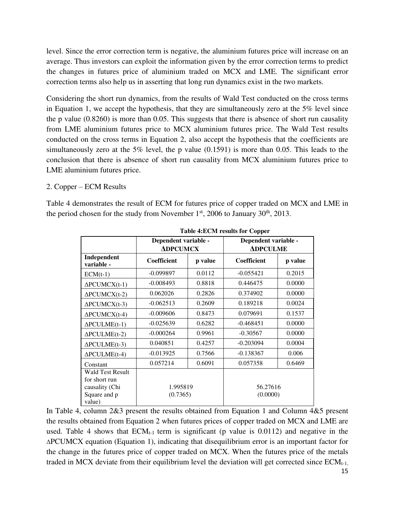level. Since the error correction term is negative, the aluminium futures price will increase on an average. Thus investors can exploit the information given by the error correction terms to predict the changes in futures price of aluminium traded on MCX and LME. The significant error correction terms also help us in asserting that long run dynamics exist in the two markets.

Considering the short run dynamics, from the results of Wald Test conducted on the cross terms in Equation 1, we accept the hypothesis, that they are simultaneously zero at the 5% level since the p value (0.8260) is more than 0.05. This suggests that there is absence of short run causality from LME aluminium futures price to MCX aluminium futures price. The Wald Test results conducted on the cross terms in Equation 2, also accept the hypothesis that the coefficients are simultaneously zero at the 5% level, the p value (0.1591) is more than 0.05. This leads to the conclusion that there is absence of short run causality from MCX aluminium futures price to LME aluminium futures price.

## 2. Copper – ECM Results

Table 4 demonstrates the result of ECM for futures price of copper traded on MCX and LME in the period chosen for the study from November  $1<sup>st</sup>$ , 2006 to January 30<sup>th</sup>, 2013.

| Tubic 4. DOM Tesuns for Copper |         |                                                                 |         |  |  |  |
|--------------------------------|---------|-----------------------------------------------------------------|---------|--|--|--|
|                                |         | Dependent variable -<br><b>ADPCULME</b>                         |         |  |  |  |
| Coefficient                    | p value | Coefficient                                                     | p value |  |  |  |
| $-0.099897$                    | 0.0112  | $-0.055421$                                                     | 0.2015  |  |  |  |
| $-0.008493$                    | 0.8818  | 0.446475                                                        | 0.0000  |  |  |  |
| 0.062026                       | 0.2826  | 0.374902                                                        | 0.0000  |  |  |  |
| $-0.062513$                    | 0.2609  | 0.189218                                                        | 0.0024  |  |  |  |
| $-0.009606$                    | 0.8473  | 0.079691                                                        | 0.1537  |  |  |  |
| $-0.025639$                    | 0.6282  | $-0.468451$                                                     | 0.0000  |  |  |  |
| $-0.000264$                    | 0.9961  | $-0.30567$                                                      | 0.0000  |  |  |  |
| 0.040851                       | 0.4257  | $-0.203094$                                                     | 0.0004  |  |  |  |
| $-0.013925$                    | 0.7566  | $-0.138367$                                                     | 0.006   |  |  |  |
| 0.057214                       | 0.6091  | 0.057358                                                        | 0.6469  |  |  |  |
|                                |         | 56.27616<br>(0.0000)                                            |         |  |  |  |
|                                |         | Dependent variable -<br><b>ADPCUMCX</b><br>1.995819<br>(0.7365) |         |  |  |  |

**Table 4:ECM results for Copper** 

In Table 4, column 2&3 present the results obtained from Equation 1 and Column 4&5 present the results obtained from Equation 2 when futures prices of copper traded on MCX and LME are used. Table 4 shows that  $ECM_{t-1}$  term is significant (p value is 0.0112) and negative in the ΔPCUMCX equation (Equation 1), indicating that disequilibrium error is an important factor for the change in the futures price of copper traded on MCX. When the futures price of the metals traded in MCX deviate from their equilibrium level the deviation will get corrected since  $ECM_{t-1}$ ,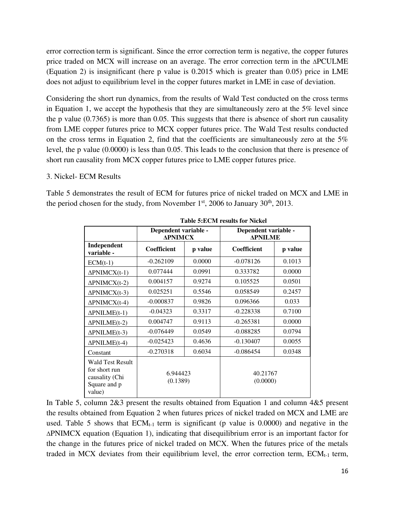error correction term is significant. Since the error correction term is negative, the copper futures price traded on MCX will increase on an average. The error correction term in the ΔPCULME (Equation 2) is insignificant (here p value is 0.2015 which is greater than 0.05) price in LME does not adjust to equilibrium level in the copper futures market in LME in case of deviation.

Considering the short run dynamics, from the results of Wald Test conducted on the cross terms in Equation 1, we accept the hypothesis that they are simultaneously zero at the 5% level since the p value (0.7365) is more than 0.05. This suggests that there is absence of short run causality from LME copper futures price to MCX copper futures price. The Wald Test results conducted on the cross terms in Equation 2, find that the coefficients are simultaneously zero at the 5% level, the p value (0.0000) is less than 0.05. This leads to the conclusion that there is presence of short run causality from MCX copper futures price to LME copper futures price.

#### 3. Nickel- ECM Results

Table 5 demonstrates the result of ECM for futures price of nickel traded on MCX and LME in the period chosen for the study, from November  $1<sup>st</sup>$ , 2006 to January 30<sup>th</sup>, 2013.

|                                                                                      | Dependent variable -<br><b>APNIMCX</b> |         | Dependent variable -<br><b>APNILME</b> |         |  |  |
|--------------------------------------------------------------------------------------|----------------------------------------|---------|----------------------------------------|---------|--|--|
| Independent<br>variable -                                                            | Coefficient                            | p value | <b>Coefficient</b>                     | p value |  |  |
| $ECM(t-1)$                                                                           | $-0.262109$                            | 0.0000  | $-0.078126$                            | 0.1013  |  |  |
| $\Delta$ PNIMCX(t-1)                                                                 | 0.077444                               | 0.0991  | 0.333782                               | 0.0000  |  |  |
| $\Delta$ PNIMCX(t-2)                                                                 | 0.004157                               | 0.9274  | 0.105525                               | 0.0501  |  |  |
| $\Delta$ PNIMCX(t-3)                                                                 | 0.025251                               | 0.5546  | 0.058549                               | 0.2457  |  |  |
| $\Delta$ PNIMCX(t-4)                                                                 | $-0.000837$                            | 0.9826  | 0.096366                               | 0.033   |  |  |
| $\Delta$ PNILME(t-1)                                                                 | $-0.04323$                             | 0.3317  | $-0.228338$                            | 0.7100  |  |  |
| $\Delta$ PNILME(t-2)                                                                 | 0.004747                               | 0.9113  | $-0.265381$                            | 0.0000  |  |  |
| $\triangle$ PNILME(t-3)                                                              | $-0.076449$                            | 0.0549  | $-0.088285$                            | 0.0794  |  |  |
| $\Delta$ PNILME(t-4)                                                                 | $-0.025423$                            | 0.4636  | $-0.130407$                            | 0.0055  |  |  |
| Constant                                                                             | $-0.270318$                            | 0.6034  | $-0.086454$                            | 0.0348  |  |  |
| <b>Wald Test Result</b><br>for short run<br>causality (Chi<br>Square and p<br>value) | 6.944423<br>(0.1389)                   |         | 40.21767<br>(0.0000)                   |         |  |  |

**Table 5:ECM results for Nickel** 

In Table 5, column 2&3 present the results obtained from Equation 1 and column 4&5 present the results obtained from Equation 2 when futures prices of nickel traded on MCX and LME are used. Table 5 shows that  $ECM_{t-1}$  term is significant (p value is 0.0000) and negative in the ΔPNIMCX equation (Equation 1), indicating that disequilibrium error is an important factor for the change in the futures price of nickel traded on MCX. When the futures price of the metals traded in MCX deviates from their equilibrium level, the error correction term,  $ECM<sub>t-1</sub>$  term,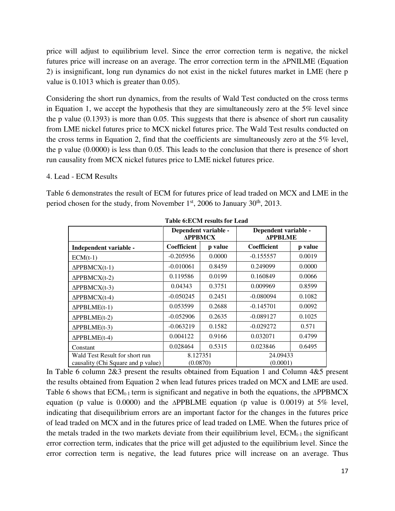price will adjust to equilibrium level. Since the error correction term is negative, the nickel futures price will increase on an average. The error correction term in the ΔPNILME (Equation 2) is insignificant, long run dynamics do not exist in the nickel futures market in LME (here p value is 0.1013 which is greater than 0.05).

Considering the short run dynamics, from the results of Wald Test conducted on the cross terms in Equation 1, we accept the hypothesis that they are simultaneously zero at the 5% level since the p value (0.1393) is more than 0.05. This suggests that there is absence of short run causality from LME nickel futures price to MCX nickel futures price. The Wald Test results conducted on the cross terms in Equation 2, find that the coefficients are simultaneously zero at the 5% level, the p value (0.0000) is less than 0.05. This leads to the conclusion that there is presence of short run causality from MCX nickel futures price to LME nickel futures price.

#### 4. Lead - ECM Results

Table 6 demonstrates the result of ECM for futures price of lead traded on MCX and LME in the period chosen for the study, from November  $1<sup>st</sup>$ , 2006 to January 30<sup>th</sup>, 2013.

|                                                                      | <b>APPBMCX</b>       | Dependent variable - | Dependent variable -<br><b>APPBLME</b> |         |
|----------------------------------------------------------------------|----------------------|----------------------|----------------------------------------|---------|
| Independent variable -                                               | <b>Coefficient</b>   | p value              | Coefficient                            | p value |
| $ECM(t-1)$                                                           | $-0.205956$          | 0.0000               | $-0.155557$                            | 0.0019  |
| $\Delta$ PPBMCX(t-1)                                                 | $-0.010061$          | 0.8459               | 0.249099                               | 0.0000  |
| $\Delta$ PPBMCX(t-2)                                                 | 0.119586             | 0.0199               | 0.160849                               | 0.0066  |
| $\triangle PPBMCX(t-3)$                                              | 0.04343              | 0.3751               | 0.009969                               | 0.8599  |
| $\Delta$ PPBMCX(t-4)                                                 | $-0.050245$          | 0.2451               | $-0.080094$                            | 0.1082  |
| $\triangle PPBLME(t-1)$                                              | 0.053599             | 0.2688               | $-0.145701$                            | 0.0092  |
| $\triangle PPBLME(t-2)$                                              | $-0.052906$          | 0.2635               | $-0.089127$                            | 0.1025  |
| $\Delta PPBLME(t-3)$                                                 | $-0.063219$          | 0.1582               | $-0.029272$                            | 0.571   |
| $\triangle PPBLME(t-4)$                                              | 0.004122             | 0.9166               | 0.032071                               | 0.4799  |
| Constant                                                             | 0.028464             | 0.5315               | 0.023846                               | 0.6495  |
| Wald Test Result for short run<br>causality (Chi Square and p value) | 8.127351<br>(0.0870) |                      | 24.09433<br>(0.0001)                   |         |

**Table 6:ECM results for Lead** 

In Table 6 column 2&3 present the results obtained from Equation 1 and Column 4&5 present the results obtained from Equation 2 when lead futures prices traded on MCX and LME are used. Table 6 shows that  $ECM_{t-1}$  term is significant and negative in both the equations, the  $\Delta$ PPBMCX equation (p value is 0.0000) and the  $\triangle$ PPBLME equation (p value is 0.0019) at 5% level, indicating that disequilibrium errors are an important factor for the changes in the futures price of lead traded on MCX and in the futures price of lead traded on LME. When the futures price of the metals traded in the two markets deviate from their equilibrium level,  $ECM<sub>t-1</sub>$  the significant error correction term, indicates that the price will get adjusted to the equilibrium level. Since the error correction term is negative, the lead futures price will increase on an average. Thus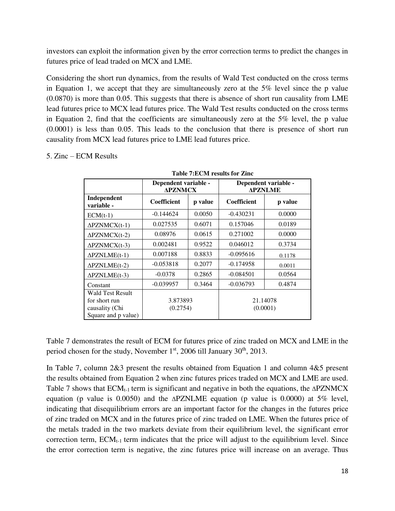investors can exploit the information given by the error correction terms to predict the changes in futures price of lead traded on MCX and LME.

Considering the short run dynamics, from the results of Wald Test conducted on the cross terms in Equation 1, we accept that they are simultaneously zero at the 5% level since the p value (0.0870) is more than 0.05. This suggests that there is absence of short run causality from LME lead futures price to MCX lead futures price. The Wald Test results conducted on the cross terms in Equation 2, find that the coefficients are simultaneously zero at the 5% level, the p value (0.0001) is less than 0.05. This leads to the conclusion that there is presence of short run causality from MCX lead futures price to LME lead futures price.

|                                 | <b>Table 7:ECM results for Zinc.</b>   |        |                                        |         |  |  |  |
|---------------------------------|----------------------------------------|--------|----------------------------------------|---------|--|--|--|
|                                 | Dependent variable -<br><b>APZNMCX</b> |        | Dependent variable -<br><b>APZNLME</b> |         |  |  |  |
| Independent<br>variable -       | Coefficient<br>p value                 |        | Coefficient                            | p value |  |  |  |
| $ECM(t-1)$                      | $-0.144624$                            | 0.0050 | $-0.430231$                            | 0.0000  |  |  |  |
| $\Delta$ PZNMCX(t-1)            | 0.027535                               | 0.6071 | 0.157046                               | 0.0189  |  |  |  |
| $\Delta$ PZNMCX(t-2)            | 0.08976                                | 0.0615 | 0.271002                               | 0.0000  |  |  |  |
| $\Delta$ PZNMCX(t-3)            | 0.002481                               | 0.9522 | 0.046012                               | 0.3734  |  |  |  |
| $\Delta$ PZNLME(t-1)            | 0.007188                               | 0.8833 | $-0.095616$                            | 0.1178  |  |  |  |
| $\Delta$ PZNLME(t-2)            | $-0.053818$                            | 0.2077 | $-0.174958$                            | 0.0011  |  |  |  |
| $\Delta$ PZNLME(t-3)            | $-0.0378$                              | 0.2865 | $-0.084501$                            | 0.0564  |  |  |  |
| Constant                        | $-0.039957$                            | 0.3464 | $-0.036793$                            | 0.4874  |  |  |  |
| Wald Test Result                |                                        |        |                                        |         |  |  |  |
| for short run<br>causality (Chi | 3.873893<br>(0.2754)                   |        | 21.14078<br>(0.0001)                   |         |  |  |  |
| Square and p value)             |                                        |        |                                        |         |  |  |  |

|  | 5. Zinc – ECM Results |
|--|-----------------------|
|  |                       |

Table 7 demonstrates the result of ECM for futures price of zinc traded on MCX and LME in the period chosen for the study, November  $1<sup>st</sup>$ , 2006 till January 30<sup>th</sup>, 2013.

In Table 7, column 2&3 present the results obtained from Equation 1 and column 4&5 present the results obtained from Equation 2 when zinc futures prices traded on MCX and LME are used. Table 7 shows that  $ECM_{t-1}$  term is significant and negative in both the equations, the  $\Delta$ PZNMCX equation (p value is 0.0050) and the  $\triangle$ PZNLME equation (p value is 0.0000) at 5% level, indicating that disequilibrium errors are an important factor for the changes in the futures price of zinc traded on MCX and in the futures price of zinc traded on LME. When the futures price of the metals traded in the two markets deviate from their equilibrium level, the significant error correction term,  $ECM_{t-1}$  term indicates that the price will adjust to the equilibrium level. Since the error correction term is negative, the zinc futures price will increase on an average. Thus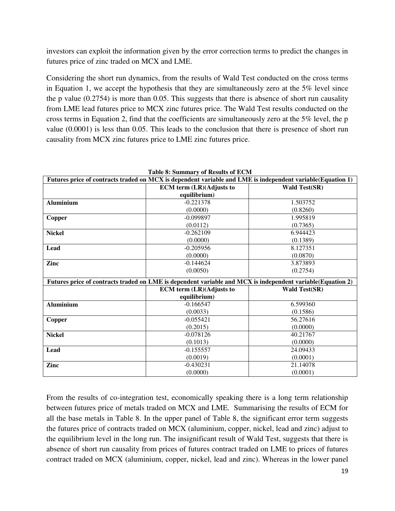investors can exploit the information given by the error correction terms to predict the changes in futures price of zinc traded on MCX and LME.

Considering the short run dynamics, from the results of Wald Test conducted on the cross terms in Equation 1, we accept the hypothesis that they are simultaneously zero at the 5% level since the p value (0.2754) is more than 0.05. This suggests that there is absence of short run causality from LME lead futures price to MCX zinc futures price. The Wald Test results conducted on the cross terms in Equation 2, find that the coefficients are simultaneously zero at the 5% level, the p value (0.0001) is less than 0.05. This leads to the conclusion that there is presence of short run causality from MCX zinc futures price to LME zinc futures price.

|                  | Futures price of contracts traded on MCX is dependent variable and LME is independent variable(Equation 1)  |                      |
|------------------|-------------------------------------------------------------------------------------------------------------|----------------------|
|                  | <b>ECM</b> term (LR)(Adjusts to                                                                             | <b>Wald Test(SR)</b> |
|                  | equilibrium)                                                                                                |                      |
| <b>Aluminium</b> | $-0.221378$                                                                                                 | 1.503752             |
|                  | (0.0000)                                                                                                    | (0.8260)             |
| Copper           | $-0.099897$                                                                                                 | 1.995819             |
|                  | (0.0112)                                                                                                    | (0.7365)             |
| <b>Nickel</b>    | $-0.262109$                                                                                                 | 6.944423             |
|                  | (0.0000)                                                                                                    | (0.1389)             |
| Lead             | $-0.205956$                                                                                                 | 8.127351             |
|                  | (0.0000)                                                                                                    | (0.0870)             |
| Zinc             | $-0.144624$                                                                                                 | 3.873893             |
|                  | (0.0050)                                                                                                    | (0.2754)             |
|                  | Futures price of contracts traded on LME is dependent variable and MCX is independent variable (Equation 2) |                      |
|                  | <b>ECM</b> term (LR)(Adjusts to                                                                             | <b>Wald Test(SR)</b> |
|                  | equilibrium)                                                                                                |                      |
| <b>Aluminium</b> | $-0.166547$                                                                                                 | 6.599360             |
|                  | (0.0033)                                                                                                    | (0.1586)             |
| Copper           | $-0.055421$                                                                                                 | 56.27616             |
|                  | (0.2015)                                                                                                    | (0.0000)             |
| <b>Nickel</b>    | $-0.078126$                                                                                                 | 40.21767             |
|                  |                                                                                                             |                      |
|                  | (0.1013)                                                                                                    | (0.0000)             |
| Lead             | $-0.155557$                                                                                                 | 24.09433             |
|                  | (0.0019)                                                                                                    | (0.0001)             |
| Zinc             | $-0.430231$                                                                                                 | 21.14078             |

**Table 8: Summary of Results of ECM** 

From the results of co-integration test, economically speaking there is a long term relationship between futures price of metals traded on MCX and LME. Summarising the results of ECM for all the base metals in Table 8. In the upper panel of Table 8, the significant error term suggests the futures price of contracts traded on MCX (aluminium, copper, nickel, lead and zinc) adjust to the equilibrium level in the long run. The insignificant result of Wald Test, suggests that there is absence of short run causality from prices of futures contract traded on LME to prices of futures contract traded on MCX (aluminium, copper, nickel, lead and zinc). Whereas in the lower panel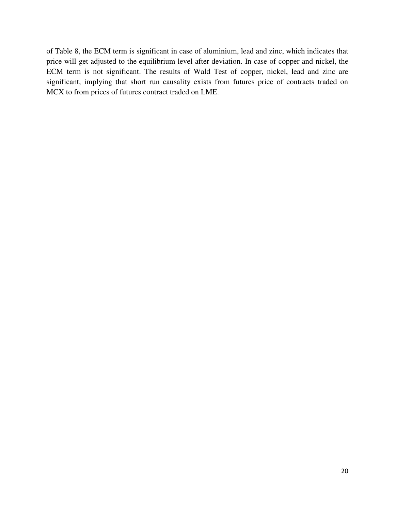of Table 8, the ECM term is significant in case of aluminium, lead and zinc, which indicates that price will get adjusted to the equilibrium level after deviation. In case of copper and nickel, the ECM term is not significant. The results of Wald Test of copper, nickel, lead and zinc are significant, implying that short run causality exists from futures price of contracts traded on MCX to from prices of futures contract traded on LME.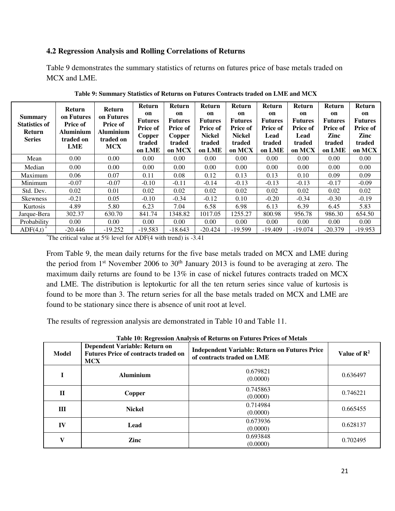#### **4.2 Regression Analysis and Rolling Correlations of Returns**

Table 9 demonstrates the summary statistics of returns on futures price of base metals traded on MCX and LME.

| <b>Summary</b><br><b>Statistics of</b><br><b>Return</b><br><b>Series</b> | <b>Return</b><br>on Futures<br><b>Price of</b><br><b>Aluminium</b><br>traded on<br>LME | <b>Return</b><br>on Futures<br><b>Price of</b><br>Aluminium<br>traded on<br><b>MCX</b> | <b>Return</b><br>on<br><b>Futures</b><br><b>Price of</b><br><b>Copper</b><br>traded<br>on LME | <b>Return</b><br>on<br><b>Futures</b><br>Price of<br>Copper<br>traded<br>on MCX | <b>Return</b><br>on<br><b>Futures</b><br><b>Price of</b><br><b>Nickel</b><br>traded<br>on LME | <b>Return</b><br>on<br><b>Futures</b><br><b>Price of</b><br><b>Nickel</b><br>traded<br>on MCX | Return<br>on<br><b>Futures</b><br><b>Price of</b><br>Lead<br>traded<br>on LME | <b>Return</b><br>on<br><b>Futures</b><br><b>Price of</b><br>Lead<br>traded<br>on MCX | Return<br>on<br><b>Futures</b><br><b>Price of</b><br>Zinc<br>traded<br>on LME | <b>Return</b><br>on<br><b>Futures</b><br><b>Price of</b><br>Zinc<br>traded<br>on MCX |
|--------------------------------------------------------------------------|----------------------------------------------------------------------------------------|----------------------------------------------------------------------------------------|-----------------------------------------------------------------------------------------------|---------------------------------------------------------------------------------|-----------------------------------------------------------------------------------------------|-----------------------------------------------------------------------------------------------|-------------------------------------------------------------------------------|--------------------------------------------------------------------------------------|-------------------------------------------------------------------------------|--------------------------------------------------------------------------------------|
| Mean                                                                     | 0.00                                                                                   | 0.00                                                                                   | 0.00                                                                                          | 0.00                                                                            | 0.00                                                                                          | 0.00                                                                                          | 0.00                                                                          | 0.00                                                                                 | 0.00                                                                          | 0.00                                                                                 |
| Median                                                                   | 0.00                                                                                   | 0.00                                                                                   | 0.00                                                                                          | 0.00                                                                            | 0.00                                                                                          | 0.00                                                                                          | 0.00                                                                          | 0.00                                                                                 | 0.00                                                                          | 0.00                                                                                 |
| Maximum                                                                  | 0.06                                                                                   | 0.07                                                                                   | 0.11                                                                                          | 0.08                                                                            | 0.12                                                                                          | 0.13                                                                                          | 0.13                                                                          | 0.10                                                                                 | 0.09                                                                          | 0.09                                                                                 |
| Minimum                                                                  | $-0.07$                                                                                | $-0.07$                                                                                | $-0.10$                                                                                       | $-0.11$                                                                         | $-0.14$                                                                                       | $-0.13$                                                                                       | $-0.13$                                                                       | $-0.13$                                                                              | $-0.17$                                                                       | $-0.09$                                                                              |
| Std. Dev.                                                                | 0.02                                                                                   | 0.01                                                                                   | 0.02                                                                                          | 0.02                                                                            | 0.02                                                                                          | 0.02                                                                                          | 0.02                                                                          | 0.02                                                                                 | 0.02                                                                          | 0.02                                                                                 |
| <b>Skewness</b>                                                          | $-0.21$                                                                                | 0.05                                                                                   | $-0.10$                                                                                       | $-0.34$                                                                         | $-0.12$                                                                                       | 0.10                                                                                          | $-0.20$                                                                       | $-0.34$                                                                              | $-0.30$                                                                       | $-0.19$                                                                              |
| Kurtosis                                                                 | 4.89                                                                                   | 5.80                                                                                   | 6.23                                                                                          | 7.04                                                                            | 6.58                                                                                          | 6.98                                                                                          | 6.13                                                                          | 6.39                                                                                 | 6.45                                                                          | 5.83                                                                                 |
| Jarque-Bera                                                              | 302.37                                                                                 | 630.70                                                                                 | 841.74                                                                                        | 1348.82                                                                         | 1017.05                                                                                       | 1255.27                                                                                       | 800.98                                                                        | 956.78                                                                               | 986.30                                                                        | 654.50                                                                               |
| Probability                                                              | 0.00                                                                                   | 0.00                                                                                   | 0.00                                                                                          | 0.00                                                                            | 0.00                                                                                          | 0.00                                                                                          | 0.00                                                                          | 0.00                                                                                 | 0.00                                                                          | 0.00                                                                                 |
| $ADF(4,t)$ <sup><math>\hat{ }</math></sup>                               | $-20.446$                                                                              | $-19.252$                                                                              | $-19.583$                                                                                     | $-18.643$                                                                       | $-20.424$                                                                                     | $-19.599$                                                                                     | $-19.409$                                                                     | $-19.074$                                                                            | $-20.379$                                                                     | $-19.953$                                                                            |

**Table 9: Summary Statistics of Returns on Futures Contracts traded on LME and MCX** 

 $^{\prime}$ The critical value at 5% level for ADF(4 with trend) is -3.41

From Table 9, the mean daily returns for the five base metals traded on MCX and LME during the period from  $1<sup>st</sup>$  November 2006 to 30<sup>th</sup> January 2013 is found to be averaging at zero. The maximum daily returns are found to be 13% in case of nickel futures contracts traded on MCX and LME. The distribution is leptokurtic for all the ten return series since value of kurtosis is found to be more than 3. The return series for all the base metals traded on MCX and LME are found to be stationary since there is absence of unit root at level.

The results of regression analysis are demonstrated in Table 10 and Table 11.

| Model        | Dependent Variable: Return on<br><b>Futures Price of contracts traded on</b><br><b>MCX</b> | <b>Independent Variable: Return on Futures Price</b><br>of contracts traded on LME | Value of $\mathbb{R}^2$ |
|--------------|--------------------------------------------------------------------------------------------|------------------------------------------------------------------------------------|-------------------------|
|              | <b>Aluminium</b>                                                                           | 0.679821<br>(0.0000)                                                               | 0.636497                |
| П            | Copper                                                                                     | 0.745863<br>(0.0000)                                                               | 0.746221                |
| Ш            | <b>Nickel</b>                                                                              | 0.714984<br>(0.0000)                                                               | 0.665455                |
| IV           | Lead                                                                                       | 0.673936<br>(0.0000)                                                               | 0.628137                |
| $\mathbf{V}$ | Zinc                                                                                       | 0.693848<br>(0.0000)                                                               | 0.702495                |

**Table 10: Regression Analysis of Returns on Futures Prices of Metals**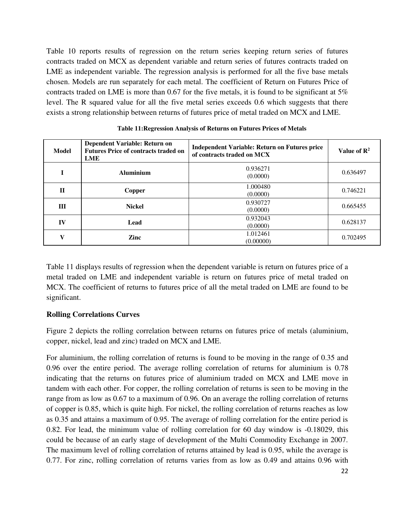Table 10 reports results of regression on the return series keeping return series of futures contracts traded on MCX as dependent variable and return series of futures contracts traded on LME as independent variable. The regression analysis is performed for all the five base metals chosen. Models are run separately for each metal. The coefficient of Return on Futures Price of contracts traded on LME is more than 0.67 for the five metals, it is found to be significant at 5% level. The R squared value for all the five metal series exceeds 0.6 which suggests that there exists a strong relationship between returns of futures price of metal traded on MCX and LME.

| Model        | Dependent Variable: Return on<br><b>Futures Price of contracts traded on</b><br>LME | <b>Independent Variable: Return on Futures price</b><br>of contracts traded on MCX | Value of $\mathbb{R}^2$ |
|--------------|-------------------------------------------------------------------------------------|------------------------------------------------------------------------------------|-------------------------|
|              | <b>Aluminium</b>                                                                    | 0.936271<br>(0.0000)                                                               | 0.636497                |
| $\mathbf H$  | Copper                                                                              | 1.000480<br>(0.0000)                                                               | 0.746221                |
| Ш            | <b>Nickel</b>                                                                       | 0.930727<br>(0.0000)                                                               | 0.665455                |
| IV           | Lead                                                                                | 0.932043<br>(0.0000)                                                               | 0.628137                |
| $\mathbf{V}$ | Zinc                                                                                | 1.012461<br>(0.00000)                                                              | 0.702495                |

| Table 11: Regression Analysis of Returns on Futures Prices of Metals |  |
|----------------------------------------------------------------------|--|
|                                                                      |  |

Table 11 displays results of regression when the dependent variable is return on futures price of a metal traded on LME and independent variable is return on futures price of metal traded on MCX. The coefficient of returns to futures price of all the metal traded on LME are found to be significant.

#### **Rolling Correlations Curves**

Figure 2 depicts the rolling correlation between returns on futures price of metals (aluminium, copper, nickel, lead and zinc) traded on MCX and LME.

For aluminium, the rolling correlation of returns is found to be moving in the range of 0.35 and 0.96 over the entire period. The average rolling correlation of returns for aluminium is 0.78 indicating that the returns on futures price of aluminium traded on MCX and LME move in tandem with each other. For copper, the rolling correlation of returns is seen to be moving in the range from as low as 0.67 to a maximum of 0.96. On an average the rolling correlation of returns of copper is 0.85, which is quite high. For nickel, the rolling correlation of returns reaches as low as 0.35 and attains a maximum of 0.95. The average of rolling correlation for the entire period is 0.82. For lead, the minimum value of rolling correlation for 60 day window is -0.18029, this could be because of an early stage of development of the Multi Commodity Exchange in 2007. The maximum level of rolling correlation of returns attained by lead is 0.95, while the average is 0.77. For zinc, rolling correlation of returns varies from as low as 0.49 and attains 0.96 with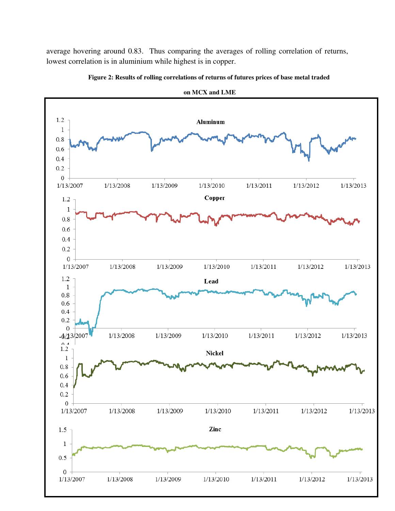average hovering around 0.83. Thus comparing the averages of rolling correlation of returns, lowest correlation is in aluminium while highest is in copper.



**Figure 2: Results of rolling correlations of returns of futures prices of base metal traded**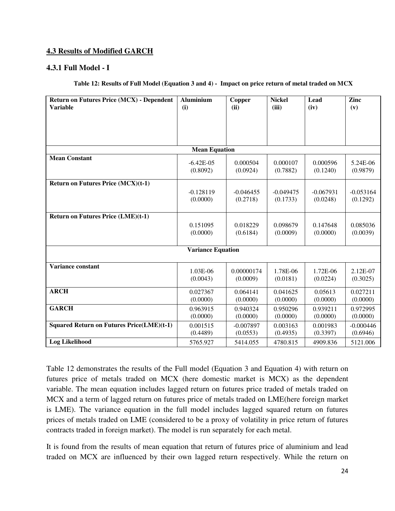## **4.3 Results of Modified GARCH**

#### **4.3.1 Full Model - I**

#### **Table 12: Results of Full Model (Equation 3 and 4) - Impact on price return of metal traded on MCX**

| <b>Return on Futures Price (MCX) - Dependent</b> | <b>Aluminium</b>         | Copper                 | <b>Nickel</b>        | Lead                 | Zinc                 |
|--------------------------------------------------|--------------------------|------------------------|----------------------|----------------------|----------------------|
| <b>Variable</b>                                  | (i)                      | (ii)                   | (iii)                | (iv)                 | (v)                  |
|                                                  |                          |                        |                      |                      |                      |
|                                                  |                          |                        |                      |                      |                      |
|                                                  |                          |                        |                      |                      |                      |
|                                                  | <b>Mean Equation</b>     |                        |                      |                      |                      |
| <b>Mean Constant</b>                             |                          |                        |                      |                      |                      |
|                                                  | $-6.42E-05$<br>(0.8092)  | 0.000504<br>(0.0924)   | 0.000107<br>(0.7882) | 0.000596<br>(0.1240) | 5.24E-06<br>(0.9879) |
|                                                  |                          |                        |                      |                      |                      |
| <b>Return on Futures Price (MCX)(t-1)</b>        |                          |                        |                      |                      |                      |
|                                                  | $-0.128119$              | $-0.046455$            | $-0.049475$          | $-0.067931$          | $-0.053164$          |
|                                                  | (0.0000)                 | (0.2718)               | (0.1733)             | (0.0248)             | (0.1292)             |
|                                                  |                          |                        |                      |                      |                      |
| <b>Return on Futures Price (LME)(t-1)</b>        |                          |                        |                      |                      |                      |
|                                                  | 0.151095<br>(0.0000)     | 0.018229<br>(0.6184)   | 0.098679<br>(0.0009) | 0.147648<br>(0.0000) | 0.085036<br>(0.0039) |
|                                                  |                          |                        |                      |                      |                      |
|                                                  | <b>Variance Equation</b> |                        |                      |                      |                      |
|                                                  |                          |                        |                      |                      |                      |
| <b>Variance constant</b>                         | 1.03E-06                 |                        |                      |                      |                      |
|                                                  | (0.0043)                 | 0.00000174<br>(0.0009) | 1.78E-06<br>(0.0181) | 1.72E-06<br>(0.0224) | 2.12E-07<br>(0.3025) |
|                                                  |                          |                        |                      |                      |                      |
| <b>ARCH</b>                                      | 0.027367                 | 0.064141               | 0.041625             | 0.05613              | 0.027211             |
|                                                  | (0.0000)                 | (0.0000)               | (0.0000)             | (0.0000)             | (0.0000)             |
| <b>GARCH</b>                                     | 0.963915                 | 0.940324               | 0.950296             | 0.939211             | 0.972995             |
|                                                  | (0.0000)                 | (0.0000)               | (0.0000)             | (0.0000)             | (0.0000)             |
| <b>Squared Return on Futures Price(LME)(t-1)</b> | 0.001515                 | $-0.007897$            | 0.003163             | 0.001983             | $-0.000446$          |
|                                                  | (0.4489)                 | (0.0553)               | (0.4935)             | (0.3397)             | (0.6946)             |
| <b>Log Likelihood</b>                            | 5765.927                 | 5414.055               | 4780.815             | 4909.836             | 5121.006             |

Table 12 demonstrates the results of the Full model (Equation 3 and Equation 4) with return on futures price of metals traded on MCX (here domestic market is MCX) as the dependent variable. The mean equation includes lagged return on futures price traded of metals traded on MCX and a term of lagged return on futures price of metals traded on LME(here foreign market is LME). The variance equation in the full model includes lagged squared return on futures prices of metals traded on LME (considered to be a proxy of volatility in price return of futures contracts traded in foreign market). The model is run separately for each metal.

It is found from the results of mean equation that return of futures price of aluminium and lead traded on MCX are influenced by their own lagged return respectively. While the return on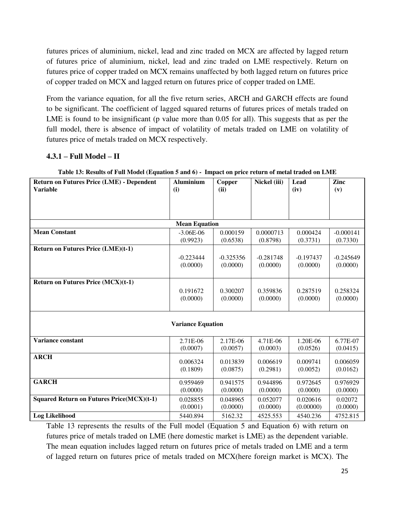futures prices of aluminium, nickel, lead and zinc traded on MCX are affected by lagged return of futures price of aluminium, nickel, lead and zinc traded on LME respectively. Return on futures price of copper traded on MCX remains unaffected by both lagged return on futures price of copper traded on MCX and lagged return on futures price of copper traded on LME.

From the variance equation, for all the five return series, ARCH and GARCH effects are found to be significant. The coefficient of lagged squared returns of futures prices of metals traded on LME is found to be insignificant (p value more than 0.05 for all). This suggests that as per the full model, there is absence of impact of volatility of metals traded on LME on volatility of futures price of metals traded on MCX respectively.

## **4.3.1 – Full Model – II**

| <b>Return on Futures Price (LME) - Dependent</b> | <b>Aluminium</b>         | Copper                  | Nickel (iii)            | Lead                    | Zinc                    |
|--------------------------------------------------|--------------------------|-------------------------|-------------------------|-------------------------|-------------------------|
| <b>Variable</b>                                  | (i)                      | (ii)                    |                         | (iv)                    | (v)                     |
|                                                  |                          |                         |                         |                         |                         |
|                                                  |                          |                         |                         |                         |                         |
|                                                  |                          |                         |                         |                         |                         |
|                                                  | <b>Mean Equation</b>     |                         |                         |                         |                         |
| <b>Mean Constant</b>                             | $-3.06E-06$<br>(0.9923)  | 0.000159                | 0.0000713               | 0.000424<br>(0.3731)    | $-0.000141$<br>(0.7330) |
| <b>Return on Futures Price (LME)(t-1)</b>        |                          | (0.6538)                | (0.8798)                |                         |                         |
|                                                  |                          |                         |                         |                         |                         |
|                                                  | $-0.223444$<br>(0.0000)  | $-0.325356$<br>(0.0000) | $-0.281748$<br>(0.0000) | $-0.197437$<br>(0.0000) | $-0.245649$<br>(0.0000) |
|                                                  |                          |                         |                         |                         |                         |
| Return on Futures Price (MCX)(t-1)               |                          |                         |                         |                         |                         |
|                                                  | 0.191672                 | 0.300207                | 0.359836                | 0.287519                | 0.258324                |
|                                                  | (0.0000)                 | (0.0000)                | (0.0000)                | (0.0000)                | (0.0000)                |
|                                                  |                          |                         |                         |                         |                         |
|                                                  |                          |                         |                         |                         |                         |
|                                                  | <b>Variance Equation</b> |                         |                         |                         |                         |
|                                                  |                          |                         |                         |                         |                         |
| <b>Variance constant</b>                         | 2.71E-06                 | 2.17E-06                | 4.71E-06                | 1.20E-06                | 6.77E-07                |
|                                                  | (0.0007)                 | (0.0057)                | (0.0003)                | (0.0526)                | (0.0415)                |
| <b>ARCH</b>                                      |                          |                         |                         |                         |                         |
|                                                  | 0.006324<br>(0.1809)     | 0.013839<br>(0.0875)    | 0.006619<br>(0.2981)    | 0.009741<br>(0.0052)    | 0.006059<br>(0.0162)    |
|                                                  |                          |                         |                         |                         |                         |
| <b>GARCH</b>                                     | 0.959469                 | 0.941575                | 0.944896                | 0.972645                | 0.976929                |
|                                                  | (0.0000)                 | (0.0000)                | (0.0000)                | (0.0000)                | (0.0000)                |
| <b>Squared Return on Futures Price(MCX)(t-1)</b> | 0.028855                 | 0.048965                | 0.052077                | 0.020616                | 0.02072                 |
|                                                  | (0.0001)                 | (0.0000)                | (0.0000)                | (0.00000)               | (0.0000)                |
| <b>Log Likelihood</b>                            | 5440.894                 | 5162.32                 | 4525.553                | 4540.236                | 4752.815                |

**Table 13: Results of Full Model (Equation 5 and 6) - Impact on price return of metal traded on LME** 

Table 13 represents the results of the Full model (Equation 5 and Equation 6) with return on futures price of metals traded on LME (here domestic market is LME) as the dependent variable. The mean equation includes lagged return on futures price of metals traded on LME and a term of lagged return on futures price of metals traded on MCX(here foreign market is MCX). The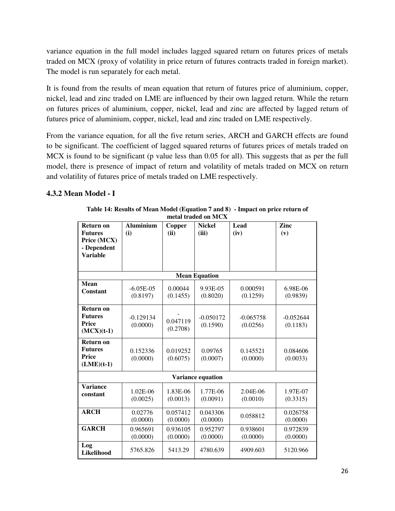variance equation in the full model includes lagged squared return on futures prices of metals traded on MCX (proxy of volatility in price return of futures contracts traded in foreign market). The model is run separately for each metal.

It is found from the results of mean equation that return of futures price of aluminium, copper, nickel, lead and zinc traded on LME are influenced by their own lagged return. While the return on futures prices of aluminium, copper, nickel, lead and zinc are affected by lagged return of futures price of aluminium, copper, nickel, lead and zinc traded on LME respectively.

From the variance equation, for all the five return series, ARCH and GARCH effects are found to be significant. The coefficient of lagged squared returns of futures prices of metals traded on MCX is found to be significant (p value less than 0.05 for all). This suggests that as per the full model, there is presence of impact of return and volatility of metals traded on MCX on return and volatility of futures price of metals traded on LME respectively.

## **4.3.2 Mean Model - I**

| Return on<br><b>Futures</b><br>Price (MCX)<br>- Dependent          | <b>Aluminium</b><br>(i)  | Copper<br>(ii)       | <b>Nickel</b><br>(iii)   | Lead<br>(iv)            | Zinc<br>(v)             |
|--------------------------------------------------------------------|--------------------------|----------------------|--------------------------|-------------------------|-------------------------|
| <b>Variable</b>                                                    |                          |                      |                          |                         |                         |
|                                                                    |                          |                      | <b>Mean Equation</b>     |                         |                         |
| <b>Mean</b><br>Constant                                            | $-6.05E-05$<br>(0.8197)  | 0.00044<br>(0.1455)  | 9.93E-05<br>(0.8020)     | 0.000591<br>(0.1259)    | 6.98E-06<br>(0.9839)    |
| <b>Return on</b><br><b>Futures</b><br>Price<br>$(MCX)(t-1)$        | $-0.129134$<br>(0.0000)  | 0.047119<br>(0.2708) | $-0.050172$<br>(0.1590)  | $-0.065758$<br>(0.0256) | $-0.052644$<br>(0.1183) |
| <b>Return on</b><br><b>Futures</b><br><b>Price</b><br>$(LME)(t-1)$ | 0.152336<br>(0.0000)     | 0.019252<br>(0.6075) | 0.09765<br>(0.0007)      | 0.145521<br>(0.0000)    | 0.084606<br>(0.0033)    |
|                                                                    |                          |                      | <b>Variance equation</b> |                         |                         |
| <b>Variance</b><br>constant                                        | $1.02E - 06$<br>(0.0025) | 1.83E-06<br>(0.0013) | 1.77E-06<br>(0.0091)     | 2.04E-06<br>(0.0010)    | 1.97E-07<br>(0.3315)    |
| <b>ARCH</b>                                                        | 0.02776<br>(0.0000)      | 0.057412<br>(0.0000) | 0.043306<br>(0.0000)     | 0.058812                | 0.026758<br>(0.0000)    |
| <b>GARCH</b>                                                       | 0.965691<br>(0.0000)     | 0.936105<br>(0.0000) | 0.952797<br>(0.0000)     | 0.938601<br>(0.0000)    | 0.972839<br>(0.0000)    |
| Log<br>Likelihood                                                  | 5765.826                 | 5413.29              | 4780.639                 | 4909.603                | 5120.966                |

**Table 14: Results of Mean Model (Equation 7 and 8) - Impact on price return of metal traded on MCX**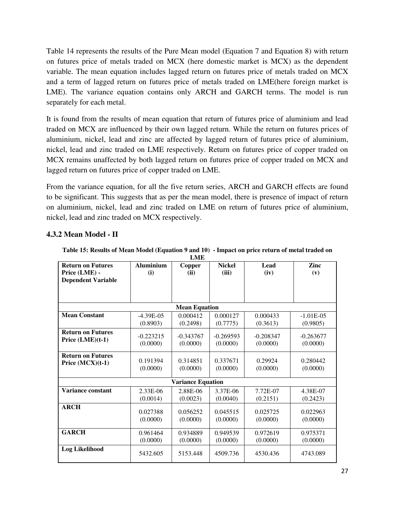Table 14 represents the results of the Pure Mean model (Equation 7 and Equation 8) with return on futures price of metals traded on MCX (here domestic market is MCX) as the dependent variable. The mean equation includes lagged return on futures price of metals traded on MCX and a term of lagged return on futures price of metals traded on LME(here foreign market is LME). The variance equation contains only ARCH and GARCH terms. The model is run separately for each metal.

It is found from the results of mean equation that return of futures price of aluminium and lead traded on MCX are influenced by their own lagged return. While the return on futures prices of aluminium, nickel, lead and zinc are affected by lagged return of futures price of aluminium, nickel, lead and zinc traded on LME respectively. Return on futures price of copper traded on MCX remains unaffected by both lagged return on futures price of copper traded on MCX and lagged return on futures price of copper traded on LME.

From the variance equation, for all the five return series, ARCH and GARCH effects are found to be significant. This suggests that as per the mean model, there is presence of impact of return on aluminium, nickel, lead and zinc traded on LME on return of futures price of aluminium, nickel, lead and zinc traded on MCX respectively.

|                           | <b>LME</b>       |                          |               |             |              |  |  |  |  |
|---------------------------|------------------|--------------------------|---------------|-------------|--------------|--|--|--|--|
| <b>Return on Futures</b>  | <b>Aluminium</b> | Copper                   | <b>Nickel</b> | Lead        | Zinc         |  |  |  |  |
| Price (LME) -             | (i)              | (ii)                     | (iii)         | (iv)        | (v)          |  |  |  |  |
| <b>Dependent Variable</b> |                  |                          |               |             |              |  |  |  |  |
|                           |                  |                          |               |             |              |  |  |  |  |
|                           |                  |                          |               |             |              |  |  |  |  |
|                           |                  | <b>Mean Equation</b>     |               |             |              |  |  |  |  |
| <b>Mean Constant</b>      | $-4.39E-0.5$     | 0.000412                 | 0.000127      | 0.000433    | $-1.01E-0.5$ |  |  |  |  |
|                           | (0.8903)         | (0.2498)                 | (0.7775)      | (0.3613)    | (0.9805)     |  |  |  |  |
| <b>Return on Futures</b>  | $-0.223215$      | $-0.343767$              | $-0.269593$   | $-0.208347$ | $-0.263677$  |  |  |  |  |
| Price $(LME)(t-1)$        | (0.0000)         | (0.0000)                 | (0.0000)      | (0.0000)    | (0.0000)     |  |  |  |  |
|                           |                  |                          |               |             |              |  |  |  |  |
| <b>Return on Futures</b>  |                  |                          |               |             |              |  |  |  |  |
| Price $(MCX)(t-1)$        | 0.191394         | 0.314851                 | 0.337671      | 0.29924     | 0.280442     |  |  |  |  |
|                           | (0.0000)         | (0.0000)                 | (0.0000)      | (0.0000)    | (0.0000)     |  |  |  |  |
|                           |                  | <b>Variance Equation</b> |               |             |              |  |  |  |  |
| Variance constant         | 2.33E-06         | 2.88E-06                 | 3.37E-06      | 7.72E-07    | 4.38E-07     |  |  |  |  |
|                           | (0.0014)         | (0.0023)                 | (0.0040)      | (0.2151)    | (0.2423)     |  |  |  |  |
| <b>ARCH</b>               |                  |                          |               |             |              |  |  |  |  |
|                           | 0.027388         | 0.056252                 | 0.045515      | 0.025725    | 0.022963     |  |  |  |  |
|                           | (0.0000)         | (0.0000)                 | (0.0000)      | (0.0000)    | (0.0000)     |  |  |  |  |
| <b>GARCH</b>              | 0.961464         | 0.934889                 | 0.949539      | 0.972619    | 0.975371     |  |  |  |  |
|                           | (0.0000)         | (0.0000)                 | (0.0000)      | (0.0000)    | (0.0000)     |  |  |  |  |
| <b>Log Likelihood</b>     |                  |                          |               |             |              |  |  |  |  |
|                           | 5432.605         | 5153.448                 | 4509.736      | 4530.436    | 4743.089     |  |  |  |  |

## **4.3.2 Mean Model - II**

**Table 15: Results of Mean Model (Equation 9 and 10) - Impact on price return of metal traded on**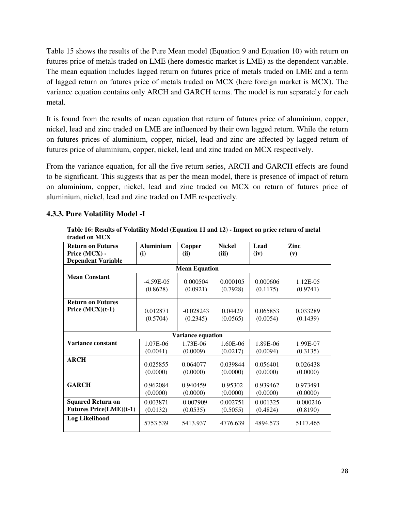Table 15 shows the results of the Pure Mean model (Equation 9 and Equation 10) with return on futures price of metals traded on LME (here domestic market is LME) as the dependent variable. The mean equation includes lagged return on futures price of metals traded on LME and a term of lagged return on futures price of metals traded on MCX (here foreign market is MCX). The variance equation contains only ARCH and GARCH terms. The model is run separately for each metal.

It is found from the results of mean equation that return of futures price of aluminium, copper, nickel, lead and zinc traded on LME are influenced by their own lagged return. While the return on futures prices of aluminium, copper, nickel, lead and zinc are affected by lagged return of futures price of aluminium, copper, nickel, lead and zinc traded on MCX respectively.

From the variance equation, for all the five return series, ARCH and GARCH effects are found to be significant. This suggests that as per the mean model, there is presence of impact of return on aluminium, copper, nickel, lead and zinc traded on MCX on return of futures price of aluminium, nickel, lead and zinc traded on LME respectively.

## **4.3.3. Pure Volatility Model -I**

**Table 16: Results of Volatility Model (Equation 11 and 12) - Impact on price return of metal traded on MCX** 

| <b>Return on Futures</b>       | <b>Aluminium</b>     | <b>Copper</b>        | <b>Nickel</b>        | Lead     | Zinc        |
|--------------------------------|----------------------|----------------------|----------------------|----------|-------------|
| Price (MCX) -                  | (i)                  | (ii)                 | (iii)                | (iv)     | (v)         |
| <b>Dependent Variable</b>      |                      |                      |                      |          |             |
|                                |                      | <b>Mean Equation</b> |                      |          |             |
| <b>Mean Constant</b>           | $-4.59E-05$          | 0.000504             | 0.000105             | 0.000606 | $1.12E-0.5$ |
|                                | (0.8628)             | (0.0921)             | (0.7928)             | (0.1175) | (0.9741)    |
| <b>Return on Futures</b>       |                      |                      |                      |          |             |
| Price $(MCX)(t-1)$             | 0.012871             | $-0.028243$          | 0.04429              | 0.065853 | 0.033289    |
|                                | (0.5704)             | (0.2345)             | (0.0565)             | (0.0054) | (0.1439)    |
|                                |                      |                      |                      |          |             |
|                                |                      | Variance equation    |                      |          |             |
| <b>Variance constant</b>       | 1.07E-06             | 1.73E-06             | 1.60E-06             | 1.89E-06 | 1.99E-07    |
|                                | (0.0041)             | (0.0009)             | (0.0217)             | (0.0094) | (0.3135)    |
| <b>ARCH</b>                    |                      | 0.064077             |                      | 0.056401 | 0.026438    |
|                                | 0.025855<br>(0.0000) | (0.0000)             | 0.039844<br>(0.0000) | (0.0000) | (0.0000)    |
|                                |                      |                      |                      |          |             |
| <b>GARCH</b>                   | 0.962084             | 0.940459             | 0.95302              | 0.939462 | 0.973491    |
|                                | (0.0000)             | (0.0000)             | (0.0000)             | (0.0000) | (0.0000)    |
| <b>Squared Return on</b>       | 0.003871             | $-0.007909$          | 0.002751             | 0.001325 | $-0.000246$ |
| <b>Futures Price(LME)(t-1)</b> | (0.0132)             | (0.0535)             | (0.5055)             | (0.4824) | (0.8190)    |
| Log Likelihood                 | 5753.539             | 5413.937             | 4776.639             | 4894.573 | 5117.465    |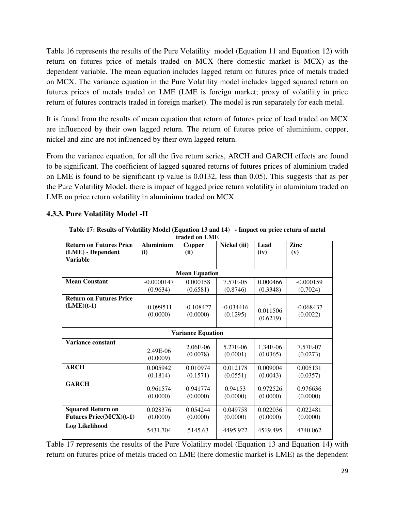Table 16 represents the results of the Pure Volatility model (Equation 11 and Equation 12) with return on futures price of metals traded on MCX (here domestic market is MCX) as the dependent variable. The mean equation includes lagged return on futures price of metals traded on MCX. The variance equation in the Pure Volatility model includes lagged squared return on futures prices of metals traded on LME (LME is foreign market; proxy of volatility in price return of futures contracts traded in foreign market). The model is run separately for each metal.

It is found from the results of mean equation that return of futures price of lead traded on MCX are influenced by their own lagged return. The return of futures price of aluminium, copper, nickel and zinc are not influenced by their own lagged return.

From the variance equation, for all the five return series, ARCH and GARCH effects are found to be significant. The coefficient of lagged squared returns of futures prices of aluminium traded on LME is found to be significant (p value is 0.0132, less than 0.05). This suggests that as per the Pure Volatility Model, there is impact of lagged price return volatility in aluminium traded on LME on price return volatility in aluminium traded on MCX.

## **4.3.3. Pure Volatility Model -II**

**Table 17: Results of Volatility Model (Equation 13 and 14) - Impact on price return of metal traded on LME** 

| <b>Return on Futures Price</b> | <b>Aluminium</b> | Copper                   | Nickel (iii) | Lead     | Zinc        |
|--------------------------------|------------------|--------------------------|--------------|----------|-------------|
| (LME) - Dependent              | (i)              | (ii)                     |              | (iv)     | (v)         |
| <b>Variable</b>                |                  |                          |              |          |             |
|                                |                  |                          |              |          |             |
|                                |                  | <b>Mean Equation</b>     |              |          |             |
| <b>Mean Constant</b>           | $-0.0000147$     | 0.000158                 | 7.57E-05     | 0.000466 | $-0.000159$ |
|                                | (0.9634)         | (0.6581)                 | (0.8746)     | (0.3348) | (0.7024)    |
| <b>Return on Futures Price</b> |                  |                          |              |          |             |
| $(LME)(t-1)$                   | $-0.099511$      | $-0.108427$              | $-0.034416$  |          | $-0.068437$ |
|                                | (0.0000)         | (0.0000)                 | (0.1295)     | 0.011506 | (0.0022)    |
|                                |                  |                          |              | (0.6219) |             |
|                                |                  |                          |              |          |             |
|                                |                  | <b>Variance Equation</b> |              |          |             |
| Variance constant              |                  |                          |              |          |             |
|                                | 2.49E-06         | 2.06E-06                 | 5.27E-06     | 1.34E-06 | 7.57E-07    |
|                                | (0.0009)         | (0.0078)                 | (0.0001)     | (0.0365) | (0.0273)    |
| <b>ARCH</b>                    | 0.005942         | 0.010974                 | 0.012178     | 0.009004 | 0.005131    |
|                                |                  |                          |              |          |             |
|                                | (0.1814)         | (0.1571)                 | (0.0551)     | (0.0043) | (0.0357)    |
| <b>GARCH</b>                   | 0.961574         | 0.941774                 | 0.94153      | 0.972526 | 0.976636    |
|                                |                  |                          |              |          |             |
|                                | (0.0000)         | (0.0000)                 | (0.0000)     | (0.0000) | (0.0000)    |
| <b>Squared Return on</b>       | 0.028376         | 0.054244                 | 0.049758     | 0.022036 | 0.022481    |
| <b>Futures Price(MCX)(t-1)</b> | (0.0000)         | (0.0000)                 | (0.0000)     | (0.0000) | (0.0000)    |
| <b>Log Likelihood</b>          | 5431.704         | 5145.63                  | 4495.922     | 4519.495 | 4740.062    |

Table 17 represents the results of the Pure Volatility model (Equation 13 and Equation 14) with return on futures price of metals traded on LME (here domestic market is LME) as the dependent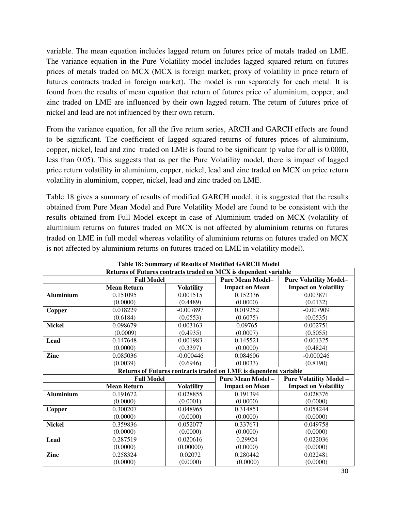variable. The mean equation includes lagged return on futures price of metals traded on LME. The variance equation in the Pure Volatility model includes lagged squared return on futures prices of metals traded on MCX (MCX is foreign market; proxy of volatility in price return of futures contracts traded in foreign market). The model is run separately for each metal. It is found from the results of mean equation that return of futures price of aluminium, copper, and zinc traded on LME are influenced by their own lagged return. The return of futures price of nickel and lead are not influenced by their own return.

From the variance equation, for all the five return series, ARCH and GARCH effects are found to be significant. The coefficient of lagged squared returns of futures prices of aluminium, copper, nickel, lead and zinc traded on LME is found to be significant (p value for all is 0.0000, less than 0.05). This suggests that as per the Pure Volatility model, there is impact of lagged price return volatility in aluminium, copper, nickel, lead and zinc traded on MCX on price return volatility in aluminium, copper, nickel, lead and zinc traded on LME.

Table 18 gives a summary of results of modified GARCH model, it is suggested that the results obtained from Pure Mean Model and Pure Volatility Model are found to be consistent with the results obtained from Full Model except in case of Aluminium traded on MCX (volatility of aluminium returns on futures traded on MCX is not affected by aluminium returns on futures traded on LME in full model whereas volatility of aluminium returns on futures traded on MCX is not affected by aluminium returns on futures traded on LME in volatility model).

|                  |                    |                   | Returns of Futures contracts traded on MCX is dependent variable |                                |
|------------------|--------------------|-------------------|------------------------------------------------------------------|--------------------------------|
|                  | <b>Full Model</b>  |                   | <b>Pure Mean Model-</b>                                          | <b>Pure Volatility Model-</b>  |
|                  | <b>Mean Return</b> | <b>Volatility</b> | <b>Impact on Mean</b>                                            | <b>Impact on Volatility</b>    |
| <b>Aluminium</b> | 0.151095           | 0.001515          | 0.152336                                                         | 0.003871                       |
|                  | (0.0000)           | (0.4489)          | (0.0000)                                                         | (0.0132)                       |
| Copper           | 0.018229           | $-0.007897$       | 0.019252                                                         | $-0.007909$                    |
|                  | (0.6184)           | (0.0553)          | (0.6075)                                                         | (0.0535)                       |
| <b>Nickel</b>    | 0.098679           | 0.003163          | 0.09765                                                          | 0.002751                       |
|                  | (0.0009)           | (0.4935)          | (0.0007)                                                         | (0.5055)                       |
| Lead             | 0.147648           | 0.001983          | 0.145521                                                         | 0.001325                       |
|                  | (0.0000)           | (0.3397)          | (0.0000)                                                         | (0.4824)                       |
| Zinc             | 0.085036           | $-0.000446$       | 0.084606                                                         | $-0.000246$                    |
|                  | (0.0039)           | (0.6946)          | (0.0033)                                                         | (0.8190)                       |
|                  |                    |                   | Returns of Futures contracts traded on LME is dependent variable |                                |
|                  | <b>Full Model</b>  |                   | <b>Pure Mean Model -</b>                                         | <b>Pure Volatility Model -</b> |
|                  | <b>Mean Return</b> | <b>Volatility</b> | <b>Impact on Mean</b>                                            | <b>Impact on Volatility</b>    |
| <b>Aluminium</b> | 0.191672           | 0.028855          | 0.191394                                                         | 0.028376                       |
|                  | (0.0000)           | (0.0001)          | (0.0000)                                                         | (0.0000)                       |
| <b>Copper</b>    | 0.300207           | 0.048965          | 0.314851                                                         | 0.054244                       |
|                  | (0.0000)           | (0.0000)          | (0.0000)                                                         | (0.0000)                       |
| <b>Nickel</b>    | 0.359836           | 0.052077          | 0.337671                                                         | 0.049758                       |
|                  | (0.0000)           | (0.0000)          | (0.0000)                                                         | (0.0000)                       |
| Lead             | 0.287519           | 0.020616          | 0.29924                                                          | 0.022036                       |
|                  | (0.0000)           | (0.00000)         | (0.0000)                                                         | (0.0000)                       |
| Zinc             | 0.258324           | 0.02072           | 0.280442                                                         | 0.022481                       |
|                  | (0.0000)           | (0.0000)          | (0.0000)                                                         | (0.0000)                       |

|  |  | <b>Table 18: Summary of Results of Modified GARCH Model</b> |
|--|--|-------------------------------------------------------------|
|--|--|-------------------------------------------------------------|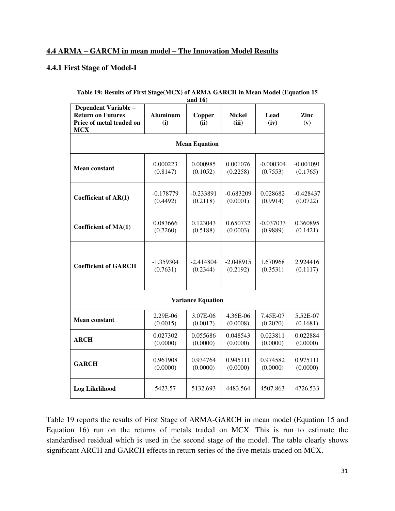## **4.4 ARMA – GARCM in mean model – The Innovation Model Results**

#### **4.4.1 First Stage of Model-I**

|                                                                                            |                        | and $16$                 |                 |              |             |  |  |  |  |  |  |  |
|--------------------------------------------------------------------------------------------|------------------------|--------------------------|-----------------|--------------|-------------|--|--|--|--|--|--|--|
| Dependent Variable -<br><b>Return on Futures</b><br>Price of metal traded on<br><b>MCX</b> | <b>Aluminum</b><br>(i) | Copper<br>(ii)           | Nickel<br>(iii) | Lead<br>(iv) | Zinc<br>(v) |  |  |  |  |  |  |  |
| <b>Mean Equation</b>                                                                       |                        |                          |                 |              |             |  |  |  |  |  |  |  |
| <b>Mean constant</b>                                                                       | 0.000223               | 0.000985                 | 0.001076        | $-0.000304$  | $-0.001091$ |  |  |  |  |  |  |  |
|                                                                                            | (0.8147)               | (0.1052)                 | (0.2258)        | (0.7553)     | (0.1765)    |  |  |  |  |  |  |  |
| Coefficient of AR(1)                                                                       | $-0.178779$            | $-0.233891$              | $-0.683209$     | 0.028682     | $-0.428437$ |  |  |  |  |  |  |  |
|                                                                                            | (0.4492)               | (0.2118)                 | (0.0001)        | (0.9914)     | (0.0722)    |  |  |  |  |  |  |  |
| Coefficient of MA(1)                                                                       | 0.083666               | 0.123043                 | 0.650732        | $-0.037033$  | 0.360895    |  |  |  |  |  |  |  |
|                                                                                            | (0.7260)               | (0.5188)                 | (0.0003)        | (0.9889)     | (0.1421)    |  |  |  |  |  |  |  |
| <b>Coefficient of GARCH</b>                                                                | $-1.359304$            | $-2.414804$              | $-2.048915$     | 1.670968     | 2.924416    |  |  |  |  |  |  |  |
|                                                                                            | (0.7631)               | (0.2344)                 | (0.2192)        | (0.3531)     | (0.1117)    |  |  |  |  |  |  |  |
|                                                                                            |                        | <b>Variance Equation</b> |                 |              |             |  |  |  |  |  |  |  |
| Mean constant                                                                              | 2.29E-06               | 3.07E-06                 | 4.36E-06        | 7.45E-07     | 5.52E-07    |  |  |  |  |  |  |  |
|                                                                                            | (0.0015)               | (0.0017)                 | (0.0008)        | (0.2020)     | (0.1681)    |  |  |  |  |  |  |  |
| <b>ARCH</b>                                                                                | 0.027302               | 0.055686                 | 0.048543        | 0.023811     | 0.022884    |  |  |  |  |  |  |  |
|                                                                                            | (0.0000)               | (0.0000)                 | (0.0000)        | (0.0000)     | (0.0000)    |  |  |  |  |  |  |  |
| <b>GARCH</b>                                                                               | 0.961908               | 0.934764                 | 0.945111        | 0.974582     | 0.975111    |  |  |  |  |  |  |  |
|                                                                                            | (0.0000)               | (0.0000)                 | (0.0000)        | (0.0000)     | (0.0000)    |  |  |  |  |  |  |  |
| <b>Log Likelihood</b>                                                                      | 5423.57                | 5132.693                 | 4483.564        | 4507.863     | 4726.533    |  |  |  |  |  |  |  |

## **Table 19: Results of First Stage(MCX) of ARMA GARCH in Mean Model (Equation 15**

Table 19 reports the results of First Stage of ARMA-GARCH in mean model (Equation 15 and Equation 16) run on the returns of metals traded on MCX. This is run to estimate the standardised residual which is used in the second stage of the model. The table clearly shows significant ARCH and GARCH effects in return series of the five metals traded on MCX.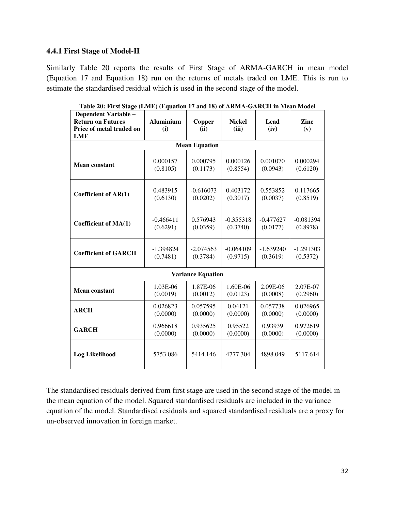#### **4.4.1 First Stage of Model-II**

Similarly Table 20 reports the results of First Stage of ARMA-GARCH in mean model (Equation 17 and Equation 18) run on the returns of metals traded on LME. This is run to estimate the standardised residual which is used in the second stage of the model.

| Dependent Variable -        |                  |                          |               |             |             |
|-----------------------------|------------------|--------------------------|---------------|-------------|-------------|
| <b>Return on Futures</b>    | <b>Aluminium</b> | Copper                   | <b>Nickel</b> | Lead        | Zinc        |
| Price of metal traded on    | (i)              | (ii)                     | (iii)         | (iv)        | (v)         |
| <b>LME</b>                  |                  |                          |               |             |             |
|                             |                  | <b>Mean Equation</b>     |               |             |             |
| <b>Mean constant</b>        | 0.000157         | 0.000795                 | 0.000126      | 0.001070    | 0.000294    |
|                             | (0.8105)         | (0.1173)                 | (0.8554)      | (0.0943)    | (0.6120)    |
| Coefficient of AR(1)        | 0.483915         | $-0.616073$              | 0.403172      | 0.553852    | 0.117665    |
|                             | (0.6130)         | (0.0202)                 | (0.3017)      | (0.0037)    | (0.8519)    |
| Coefficient of MA(1)        | $-0.466411$      | 0.576943                 | $-0.355318$   | $-0.477627$ | $-0.081394$ |
|                             | (0.6291)         | (0.0359)                 | (0.3740)      | (0.0177)    | (0.8978)    |
| <b>Coefficient of GARCH</b> | $-1.394824$      | $-2.074563$              | $-0.064109$   | $-1.639240$ | $-1.291303$ |
|                             | (0.7481)         | (0.3784)                 | (0.9715)      | (0.3619)    | (0.5372)    |
|                             |                  | <b>Variance Equation</b> |               |             |             |
| <b>Mean constant</b>        | 1.03E-06         | 1.87E-06                 | 1.60E-06      | 2.09E-06    | 2.07E-07    |
|                             | (0.0019)         | (0.0012)                 | (0.0123)      | (0.0008)    | (0.2960)    |
| <b>ARCH</b>                 | 0.026823         | 0.057595                 | 0.04121       | 0.057738    | 0.026965    |
|                             | (0.0000)         | (0.0000)                 | (0.0000)      | (0.0000)    | (0.0000)    |
| <b>GARCH</b>                | 0.966618         | 0.935625                 | 0.95522       | 0.93939     | 0.972619    |
|                             | (0.0000)         | (0.0000)                 | (0.0000)      | (0.0000)    | (0.0000)    |
| <b>Log Likelihood</b>       | 5753.086         | 5414.146                 | 4777.304      | 4898.049    | 5117.614    |

**Table 20: First Stage (LME) (Equation 17 and 18) of ARMA-GARCH in Mean Model** 

The standardised residuals derived from first stage are used in the second stage of the model in the mean equation of the model. Squared standardised residuals are included in the variance equation of the model. Standardised residuals and squared standardised residuals are a proxy for un-observed innovation in foreign market.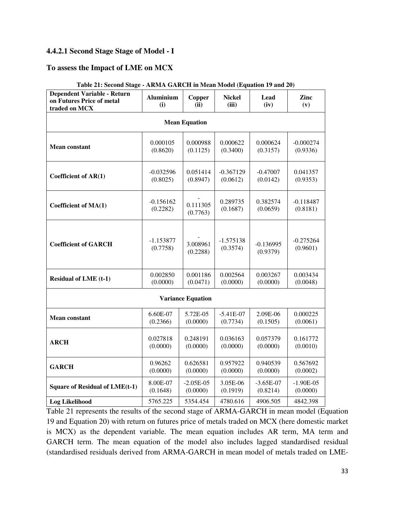## **4.4.2.1 Second Stage Stage of Model - I**

#### **To assess the Impact of LME on MCX**

| <b>Dependent Variable - Return</b><br>on Futures Price of metal<br>traded on MCX | <b>Aluminium</b><br>(i) | <b>Copper</b><br>(ii)    | <b>Nickel</b><br>(iii) | Lead<br>(iv) | Zinc<br>(v) |  |  |  |  |
|----------------------------------------------------------------------------------|-------------------------|--------------------------|------------------------|--------------|-------------|--|--|--|--|
| <b>Mean Equation</b>                                                             |                         |                          |                        |              |             |  |  |  |  |
| <b>Mean constant</b>                                                             | 0.000105                | 0.000988                 | 0.000622               | 0.000624     | $-0.000274$ |  |  |  |  |
|                                                                                  | (0.8620)                | (0.1125)                 | (0.3400)               | (0.3157)     | (0.9336)    |  |  |  |  |
| Coefficient of AR(1)                                                             | $-0.032596$             | 0.051414                 | $-0.367129$            | $-0.47007$   | 0.041357    |  |  |  |  |
|                                                                                  | (0.8025)                | (0.8947)                 | (0.0612)               | (0.0142)     | (0.9353)    |  |  |  |  |
| Coefficient of MA(1)                                                             | $-0.156162$             | 0.111305                 | 0.289735               | 0.382574     | $-0.118487$ |  |  |  |  |
|                                                                                  | (0.2282)                | (0.7763)                 | (0.1687)               | (0.0659)     | (0.8181)    |  |  |  |  |
| <b>Coefficient of GARCH</b>                                                      | $-1.153877$             | 3.008961                 | $-1.575138$            | $-0.136995$  | $-0.275264$ |  |  |  |  |
|                                                                                  | (0.7758)                | (0.2288)                 | (0.3574)               | (0.9379)     | (0.9601)    |  |  |  |  |
| <b>Residual of LME (t-1)</b>                                                     | 0.002850                | 0.001186                 | 0.002564               | 0.003267     | 0.003434    |  |  |  |  |
|                                                                                  | (0.0000)                | (0.0471)                 | (0.0000)               | (0.0000)     | (0.0048)    |  |  |  |  |
|                                                                                  |                         | <b>Variance Equation</b> |                        |              |             |  |  |  |  |
| <b>Mean constant</b>                                                             | 6.60E-07                | 5.72E-05                 | $-5.41E-07$            | 2.09E-06     | 0.000225    |  |  |  |  |
|                                                                                  | (0.2366)                | (0.0000)                 | (0.7734)               | (0.1505)     | (0.0061)    |  |  |  |  |
| <b>ARCH</b>                                                                      | 0.027818                | 0.248191                 | 0.036163               | 0.057379     | 0.161772    |  |  |  |  |
|                                                                                  | (0.0000)                | (0.0000)                 | (0.0000)               | (0.0000)     | (0.0010)    |  |  |  |  |
| <b>GARCH</b>                                                                     | 0.96262                 | 0.626581                 | 0.957922               | 0.940539     | 0.567692    |  |  |  |  |
|                                                                                  | (0.0000)                | (0.0000)                 | (0.0000)               | (0.0000)     | (0.0002)    |  |  |  |  |
| Square of Residual of LME(t-1)                                                   | 8.00E-07                | $-2.05E-05$              | 3.05E-06               | $-3.65E-07$  | $-1.90E-05$ |  |  |  |  |
|                                                                                  | (0.1648)                | (0.0000)                 | (0.1919)               | (0.8214)     | (0.0000)    |  |  |  |  |
| <b>Log Likelihood</b>                                                            | 5765.225                | 5354.454                 | 4780.616               | 4906.505     | 4842.398    |  |  |  |  |

| Table 21: Second Stage - ARMA GARCH in Mean Model (Equation 19 and 20) |  |  |  |  |  |
|------------------------------------------------------------------------|--|--|--|--|--|
|------------------------------------------------------------------------|--|--|--|--|--|

Table 21 represents the results of the second stage of ARMA-GARCH in mean model (Equation 19 and Equation 20) with return on futures price of metals traded on MCX (here domestic market is MCX) as the dependent variable. The mean equation includes AR term, MA term and GARCH term. The mean equation of the model also includes lagged standardised residual (standardised residuals derived from ARMA-GARCH in mean model of metals traded on LME-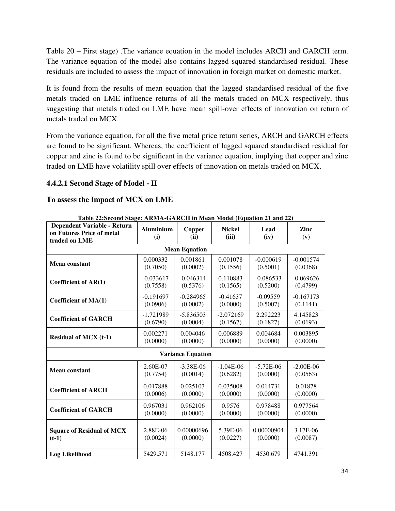Table 20 – First stage) .The variance equation in the model includes ARCH and GARCH term. The variance equation of the model also contains lagged squared standardised residual. These residuals are included to assess the impact of innovation in foreign market on domestic market.

It is found from the results of mean equation that the lagged standardised residual of the five metals traded on LME influence returns of all the metals traded on MCX respectively, thus suggesting that metals traded on LME have mean spill-over effects of innovation on return of metals traded on MCX.

From the variance equation, for all the five metal price return series, ARCH and GARCH effects are found to be significant. Whereas, the coefficient of lagged squared standardised residual for copper and zinc is found to be significant in the variance equation, implying that copper and zinc traded on LME have volatility spill over effects of innovation on metals traded on MCX.

## **4.4.2.1 Second Stage of Model - II**

## **To assess the Impact of MCX on LME**

| Table 22:Second Stage: ARMA-GARCH in Mean Model (Equation 21 and 22)             |                         |                          |                        |              |             |  |  |  |
|----------------------------------------------------------------------------------|-------------------------|--------------------------|------------------------|--------------|-------------|--|--|--|
| <b>Dependent Variable - Return</b><br>on Futures Price of metal<br>traded on LME | <b>Aluminium</b><br>(i) | Copper<br>(ii)           | <b>Nickel</b><br>(iii) | Lead<br>(iv) | Zinc<br>(v) |  |  |  |
| <b>Mean Equation</b>                                                             |                         |                          |                        |              |             |  |  |  |
| <b>Mean constant</b>                                                             | 0.000332                | 0.001861                 | 0.001078               | $-0.000619$  | $-0.001574$ |  |  |  |
|                                                                                  | (0.7050)                | (0.0002)                 | (0.1556)               | (0.5001)     | (0.0368)    |  |  |  |
| Coefficient of $AR(1)$                                                           | $-0.033617$             | $-0.046314$              | 0.110883               | $-0.086533$  | $-0.069626$ |  |  |  |
|                                                                                  | (0.7558)                | (0.5376)                 | (0.1565)               | (0.5200)     | (0.4799)    |  |  |  |
| Coefficient of MA(1)                                                             | $-0.191697$             | $-0.284965$              | $-0.41637$             | $-0.09559$   | $-0.167173$ |  |  |  |
|                                                                                  | (0.0906)                | (0.0002)                 | (0.0000)               | (0.5007)     | (0.1141)    |  |  |  |
| <b>Coefficient of GARCH</b>                                                      | $-1.721989$             | $-5.836503$              | $-2.072169$            | 2.292223     | 4.145823    |  |  |  |
|                                                                                  | (0.6790)                | (0.0004)                 | (0.1567)               | (0.1827)     | (0.0193)    |  |  |  |
| <b>Residual of MCX (t-1)</b>                                                     | 0.002271                | 0.004046                 | 0.006889               | 0.004684     | 0.003895    |  |  |  |
|                                                                                  | (0.0000)                | (0.0000)                 | (0.0000)               | (0.0000)     | (0.0000)    |  |  |  |
|                                                                                  |                         | <b>Variance Equation</b> |                        |              |             |  |  |  |
| <b>Mean constant</b>                                                             | 2.60E-07                | $-3.38E-06$              | $-1.04E-06$            | $-5.72E-06$  | $-2.00E-06$ |  |  |  |
|                                                                                  | (0.7754)                | (0.0014)                 | (0.6282)               | (0.0000)     | (0.0563)    |  |  |  |
| <b>Coefficient of ARCH</b>                                                       | 0.017888                | 0.025103                 | 0.035008               | 0.014731     | 0.01878     |  |  |  |
|                                                                                  | (0.0006)                | (0.0000)                 | (0.0000)               | (0.0000)     | (0.0000)    |  |  |  |
| <b>Coefficient of GARCH</b>                                                      | 0.967031                | 0.962106                 | 0.9576                 | 0.978488     | 0.977564    |  |  |  |
|                                                                                  | (0.0000)                | (0.0000)                 | (0.0000)               | (0.0000)     | (0.0000)    |  |  |  |
| <b>Square of Residual of MCX</b>                                                 | 2.88E-06                | 0.00000696               | 5.39E-06               | 0.00000904   | 3.17E-06    |  |  |  |
| $(t-1)$                                                                          | (0.0024)                | (0.0000)                 | (0.0227)               | (0.0000)     | (0.0087)    |  |  |  |
| <b>Log Likelihood</b>                                                            | 5429.571                | 5148.177                 | 4508.427               | 4530.679     | 4741.391    |  |  |  |

**Table 22:Second Stage: ARMA-GARCH in Mean Model (Equation 21 and 22)**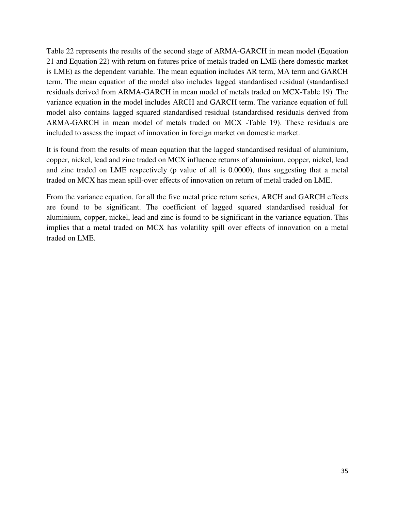Table 22 represents the results of the second stage of ARMA-GARCH in mean model (Equation 21 and Equation 22) with return on futures price of metals traded on LME (here domestic market is LME) as the dependent variable. The mean equation includes AR term, MA term and GARCH term. The mean equation of the model also includes lagged standardised residual (standardised residuals derived from ARMA-GARCH in mean model of metals traded on MCX-Table 19) .The variance equation in the model includes ARCH and GARCH term. The variance equation of full model also contains lagged squared standardised residual (standardised residuals derived from ARMA-GARCH in mean model of metals traded on MCX -Table 19). These residuals are included to assess the impact of innovation in foreign market on domestic market.

It is found from the results of mean equation that the lagged standardised residual of aluminium, copper, nickel, lead and zinc traded on MCX influence returns of aluminium, copper, nickel, lead and zinc traded on LME respectively (p value of all is 0.0000), thus suggesting that a metal traded on MCX has mean spill-over effects of innovation on return of metal traded on LME.

From the variance equation, for all the five metal price return series, ARCH and GARCH effects are found to be significant. The coefficient of lagged squared standardised residual for aluminium, copper, nickel, lead and zinc is found to be significant in the variance equation. This implies that a metal traded on MCX has volatility spill over effects of innovation on a metal traded on LME.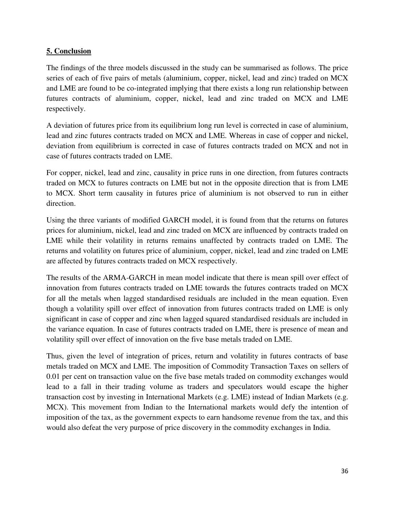## **5. Conclusion**

The findings of the three models discussed in the study can be summarised as follows. The price series of each of five pairs of metals (aluminium, copper, nickel, lead and zinc) traded on MCX and LME are found to be co-integrated implying that there exists a long run relationship between futures contracts of aluminium, copper, nickel, lead and zinc traded on MCX and LME respectively.

A deviation of futures price from its equilibrium long run level is corrected in case of aluminium, lead and zinc futures contracts traded on MCX and LME. Whereas in case of copper and nickel, deviation from equilibrium is corrected in case of futures contracts traded on MCX and not in case of futures contracts traded on LME.

For copper, nickel, lead and zinc, causality in price runs in one direction, from futures contracts traded on MCX to futures contracts on LME but not in the opposite direction that is from LME to MCX. Short term causality in futures price of aluminium is not observed to run in either direction.

Using the three variants of modified GARCH model, it is found from that the returns on futures prices for aluminium, nickel, lead and zinc traded on MCX are influenced by contracts traded on LME while their volatility in returns remains unaffected by contracts traded on LME. The returns and volatility on futures price of aluminium, copper, nickel, lead and zinc traded on LME are affected by futures contracts traded on MCX respectively.

The results of the ARMA-GARCH in mean model indicate that there is mean spill over effect of innovation from futures contracts traded on LME towards the futures contracts traded on MCX for all the metals when lagged standardised residuals are included in the mean equation. Even though a volatility spill over effect of innovation from futures contracts traded on LME is only significant in case of copper and zinc when lagged squared standardised residuals are included in the variance equation. In case of futures contracts traded on LME, there is presence of mean and volatility spill over effect of innovation on the five base metals traded on LME.

Thus, given the level of integration of prices, return and volatility in futures contracts of base metals traded on MCX and LME. The imposition of Commodity Transaction Taxes on sellers of 0.01 per cent on transaction value on the five base metals traded on commodity exchanges would lead to a fall in their trading volume as traders and speculators would escape the higher transaction cost by investing in International Markets (e.g. LME) instead of Indian Markets (e.g. MCX). This movement from Indian to the International markets would defy the intention of imposition of the tax, as the government expects to earn handsome revenue from the tax, and this would also defeat the very purpose of price discovery in the commodity exchanges in India.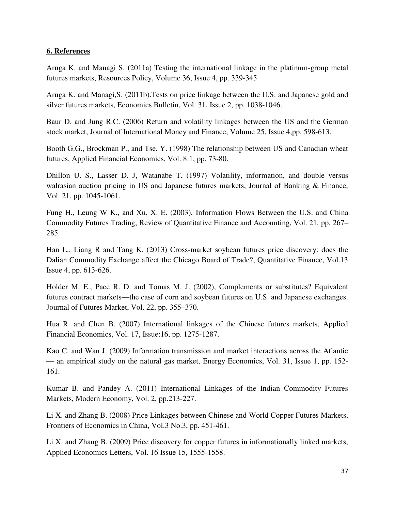#### **6. References**

Aruga K. and Managi S. (2011a) Testing the international linkage in the platinum-group metal futures markets, Resources Policy, Volume 36, Issue 4, pp. 339-345.

Aruga K. and Managi,S. (2011b).Tests on price linkage between the U.S. and Japanese gold and silver futures markets, Economics Bulletin, Vol. 31, Issue 2, pp. 1038-1046.

Baur D. and Jung R.C. (2006) Return and volatility linkages between the US and the German stock market, Journal of International Money and Finance, Volume 25, Issue 4,pp. 598-613.

Booth G.G., Brockman P., and Tse. Y. (1998) The relationship between US and Canadian wheat futures, Applied Financial Economics, Vol. 8:1, pp. 73-80.

Dhillon U. S., Lasser D. J, Watanabe T. (1997) Volatility, information, and double versus walrasian auction pricing in US and Japanese futures markets, Journal of Banking & Finance, Vol. 21, pp. 1045-1061.

Fung H., Leung W K., and Xu, X. E. (2003), Information Flows Between the U.S. and China Commodity Futures Trading, Review of Quantitative Finance and Accounting, Vol. 21, pp. 267– 285.

Han L., Liang R and Tang K. (2013) Cross-market soybean futures price discovery: does the Dalian Commodity Exchange affect the Chicago Board of Trade?, Quantitative Finance, Vol.13 Issue 4, pp. 613-626.

Holder M. E., Pace R. D. and Tomas M. J. (2002), Complements or substitutes? Equivalent futures contract markets—the case of corn and soybean futures on U.S. and Japanese exchanges. Journal of Futures Market, Vol. 22, pp. 355–370.

Hua R. and Chen B. (2007) International linkages of the Chinese futures markets, Applied Financial Economics, Vol. 17, Issue:16, pp. 1275-1287.

Kao C. and Wan J. (2009) Information transmission and market interactions across the Atlantic — an empirical study on the natural gas market, Energy Economics, Vol. 31, Issue 1, pp. 152- 161.

Kumar B. and Pandey A. (2011) International Linkages of the Indian Commodity Futures Markets, Modern Economy, Vol. 2, pp.213-227.

Li X. and Zhang B. (2008) Price Linkages between Chinese and World Copper Futures Markets, Frontiers of Economics in China, Vol.3 No.3, pp. 451-461.

Li X. and Zhang B. (2009) Price discovery for copper futures in informationally linked markets, Applied Economics Letters, Vol. 16 Issue 15, 1555-1558.